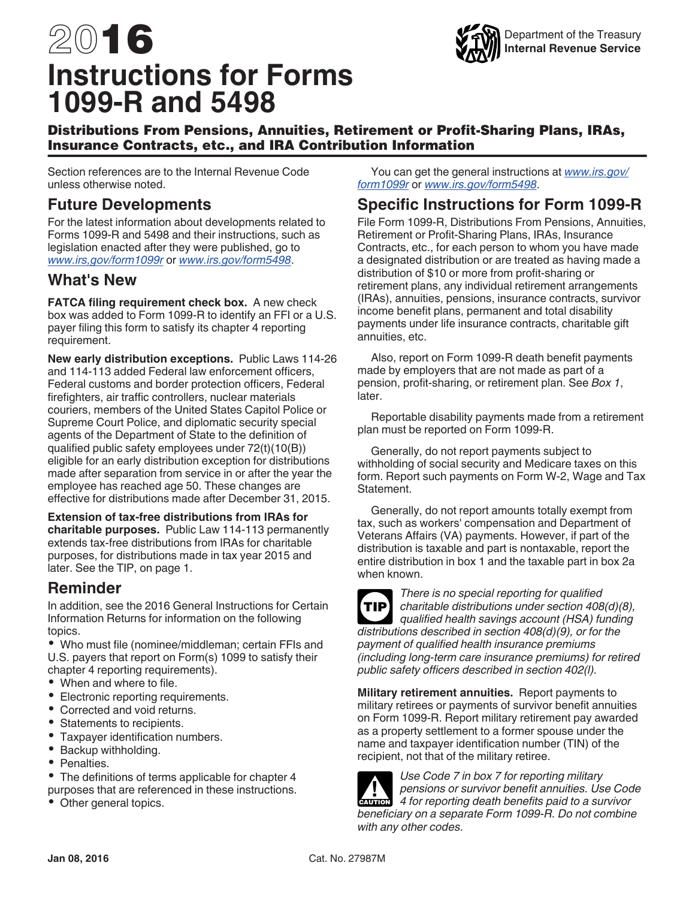# 2016 **Instructions for Forms 1099-R and 5498**



## Distributions From Pensions, Annuities, Retirement or Profit-Sharing Plans, IRAs, Insurance Contracts, etc., and IRA Contribution Information

Section references are to the Internal Revenue Code unless otherwise noted.

# **Future Developments**

For the latest information about developments related to Forms 1099-R and 5498 and their instructions, such as legislation enacted after they were published, go to *www.irs,gov/form1099r* or *www.irs.gov/form5498*.

# **What's New**

**FATCA filing requirement check box.** A new check box was added to Form 1099-R to identify an FFI or a U.S. payer filing this form to satisfy its chapter 4 reporting requirement.

**New early distribution exceptions.** Public Laws 114-26 and 114-113 added Federal law enforcement officers, Federal customs and border protection officers, Federal firefighters, air traffic controllers, nuclear materials couriers, members of the United States Capitol Police or Supreme Court Police, and diplomatic security special agents of the Department of State to the definition of qualified public safety employees under 72(t)(10(B)) eligible for an early distribution exception for distributions made after separation from service in or after the year the employee has reached age 50. These changes are effective for distributions made after December 31, 2015.

**Extension of tax-free distributions from IRAs for charitable purposes.** Public Law 114-113 permanently extends tax-free distributions from IRAs for charitable purposes, for distributions made in tax year 2015 and later. See the TIP, on page 1.

# **Reminder**

In addition, see the 2016 General Instructions for Certain Information Returns for information on the following topics.

Who must file (nominee/middleman; certain FFIs and U.S. payers that report on Form(s) 1099 to satisfy their chapter 4 reporting requirements).

- When and where to file.
- Electronic reporting requirements.
- Corrected and void returns.
- $\bullet$ Statements to recipients.
- $\bullet$ Taxpayer identification numbers.
- Backup withholding.
- Penalties.

• The definitions of terms applicable for chapter 4 purposes that are referenced in these instructions.

• Other general topics.

You can get the general instructions at *www.irs.gov/ form1099r* or *www.irs.gov/form5498*.

# **Specific Instructions for Form 1099-R**

File Form 1099-R, Distributions From Pensions, Annuities, Retirement or Profit-Sharing Plans, IRAs, Insurance Contracts, etc., for each person to whom you have made a designated distribution or are treated as having made a distribution of \$10 or more from profit-sharing or retirement plans, any individual retirement arrangements (IRAs), annuities, pensions, insurance contracts, survivor income benefit plans, permanent and total disability payments under life insurance contracts, charitable gift annuities, etc.

Also, report on Form 1099-R death benefit payments made by employers that are not made as part of a pension, profit-sharing, or retirement plan. See *Box 1*, later.

Reportable disability payments made from a retirement plan must be reported on Form 1099-R.

Generally, do not report payments subject to withholding of social security and Medicare taxes on this form. Report such payments on Form W-2, Wage and Tax Statement.

Generally, do not report amounts totally exempt from tax, such as workers' compensation and Department of Veterans Affairs (VA) payments. However, if part of the distribution is taxable and part is nontaxable, report the entire distribution in box 1 and the taxable part in box 2a when known.



*There is no special reporting for qualified charitable distributions under section 408(d)(8), qualified health savings account (HSA) funding distributions described in section 408(d)(9), or for the payment of qualified health insurance premiums (including long-term care insurance premiums) for retired public safety officers described in section 402(l).*

**Military retirement annuities.** Report payments to military retirees or payments of survivor benefit annuities on Form 1099-R. Report military retirement pay awarded as a property settlement to a former spouse under the name and taxpayer identification number (TIN) of the recipient, not that of the military retiree.

*Use Code 7 in box 7 for reporting military pensions or survivor benefit annuities. Use Code*  **PERIODE A** *for reporting death benefit annuities.* Use Code **4** for reporting death benefits paid to a survivor *beneficiary on a separate Form 1099-R. Do not combine with any other codes.*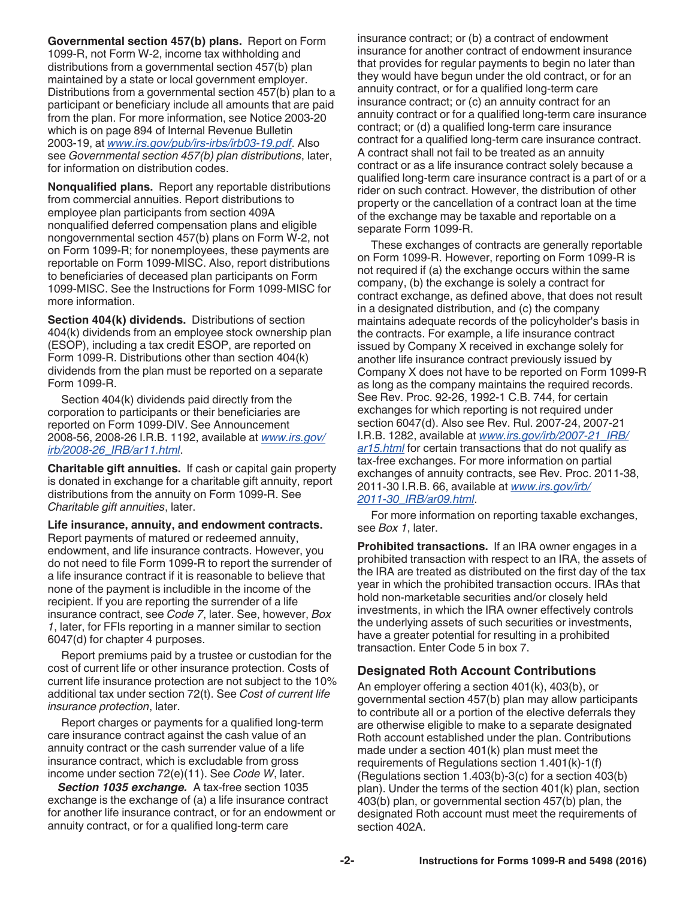**Governmental section 457(b) plans.** Report on Form 1099-R, not Form W-2, income tax withholding and distributions from a governmental section 457(b) plan maintained by a state or local government employer. Distributions from a governmental section 457(b) plan to a participant or beneficiary include all amounts that are paid from the plan. For more information, see Notice 2003-20 which is on page 894 of Internal Revenue Bulletin 2003-19, at *www.irs.gov/pub/irs-irbs/irb03-19.pdf*. Also see *Governmental section 457(b) plan distributions*, later, for information on distribution codes.

**Nonqualified plans.** Report any reportable distributions from commercial annuities. Report distributions to employee plan participants from section 409A nonqualified deferred compensation plans and eligible nongovernmental section 457(b) plans on Form W-2, not on Form 1099-R; for nonemployees, these payments are reportable on Form 1099-MISC. Also, report distributions to beneficiaries of deceased plan participants on Form 1099-MISC. See the Instructions for Form 1099-MISC for more information.

**Section 404(k) dividends.** Distributions of section 404(k) dividends from an employee stock ownership plan (ESOP), including a tax credit ESOP, are reported on Form 1099-R. Distributions other than section 404(k) dividends from the plan must be reported on a separate Form 1099-R.

Section 404(k) dividends paid directly from the corporation to participants or their beneficiaries are reported on Form 1099-DIV. See Announcement 2008-56, 2008-26 I.R.B. 1192, available at *www.irs.gov/ irb/2008-26\_IRB/ar11.html*.

**Charitable gift annuities.** If cash or capital gain property is donated in exchange for a charitable gift annuity, report distributions from the annuity on Form 1099-R. See *Charitable gift annuities*, later.

**Life insurance, annuity, and endowment contracts.** Report payments of matured or redeemed annuity, endowment, and life insurance contracts. However, you do not need to file Form 1099-R to report the surrender of a life insurance contract if it is reasonable to believe that none of the payment is includible in the income of the recipient. If you are reporting the surrender of a life insurance contract, see *Code 7*, later. See, however, *Box 1*, later, for FFIs reporting in a manner similar to section 6047(d) for chapter 4 purposes.

Report premiums paid by a trustee or custodian for the cost of current life or other insurance protection. Costs of current life insurance protection are not subject to the 10% additional tax under section 72(t). See *Cost of current life insurance protection*, later.

Report charges or payments for a qualified long-term care insurance contract against the cash value of an annuity contract or the cash surrender value of a life insurance contract, which is excludable from gross income under section 72(e)(11). See *Code W*, later.

*Section 1035 exchange.* A tax-free section 1035 exchange is the exchange of (a) a life insurance contract for another life insurance contract, or for an endowment or annuity contract, or for a qualified long-term care

insurance contract; or (b) a contract of endowment insurance for another contract of endowment insurance that provides for regular payments to begin no later than they would have begun under the old contract, or for an annuity contract, or for a qualified long-term care insurance contract; or (c) an annuity contract for an annuity contract or for a qualified long-term care insurance contract; or (d) a qualified long-term care insurance contract for a qualified long-term care insurance contract. A contract shall not fail to be treated as an annuity contract or as a life insurance contract solely because a qualified long-term care insurance contract is a part of or a rider on such contract. However, the distribution of other property or the cancellation of a contract loan at the time of the exchange may be taxable and reportable on a separate Form 1099-R.

These exchanges of contracts are generally reportable on Form 1099-R. However, reporting on Form 1099-R is not required if (a) the exchange occurs within the same company, (b) the exchange is solely a contract for contract exchange, as defined above, that does not result in a designated distribution, and (c) the company maintains adequate records of the policyholder's basis in the contracts. For example, a life insurance contract issued by Company X received in exchange solely for another life insurance contract previously issued by Company X does not have to be reported on Form 1099-R as long as the company maintains the required records. See Rev. Proc. 92-26, 1992-1 C.B. 744, for certain exchanges for which reporting is not required under section 6047(d). Also see Rev. Rul. 2007-24, 2007-21 I.R.B. 1282, available at *www.irs.gov/irb/2007-21\_IRB/ ar15.html* for certain transactions that do not qualify as tax-free exchanges. For more information on partial exchanges of annuity contracts, see Rev. Proc. 2011-38, 2011-30 I.R.B. 66, available at *www.irs.gov/irb/ 2011-30\_IRB/ar09.html*.

For more information on reporting taxable exchanges, see *Box 1*, later.

**Prohibited transactions.** If an IRA owner engages in a prohibited transaction with respect to an IRA, the assets of the IRA are treated as distributed on the first day of the tax year in which the prohibited transaction occurs. IRAs that hold non-marketable securities and/or closely held investments, in which the IRA owner effectively controls the underlying assets of such securities or investments, have a greater potential for resulting in a prohibited transaction. Enter Code 5 in box 7.

### **Designated Roth Account Contributions**

An employer offering a section 401(k), 403(b), or governmental section 457(b) plan may allow participants to contribute all or a portion of the elective deferrals they are otherwise eligible to make to a separate designated Roth account established under the plan. Contributions made under a section 401(k) plan must meet the requirements of Regulations section 1.401(k)-1(f) (Regulations section 1.403(b)-3(c) for a section 403(b) plan). Under the terms of the section 401(k) plan, section 403(b) plan, or governmental section 457(b) plan, the designated Roth account must meet the requirements of section 402A.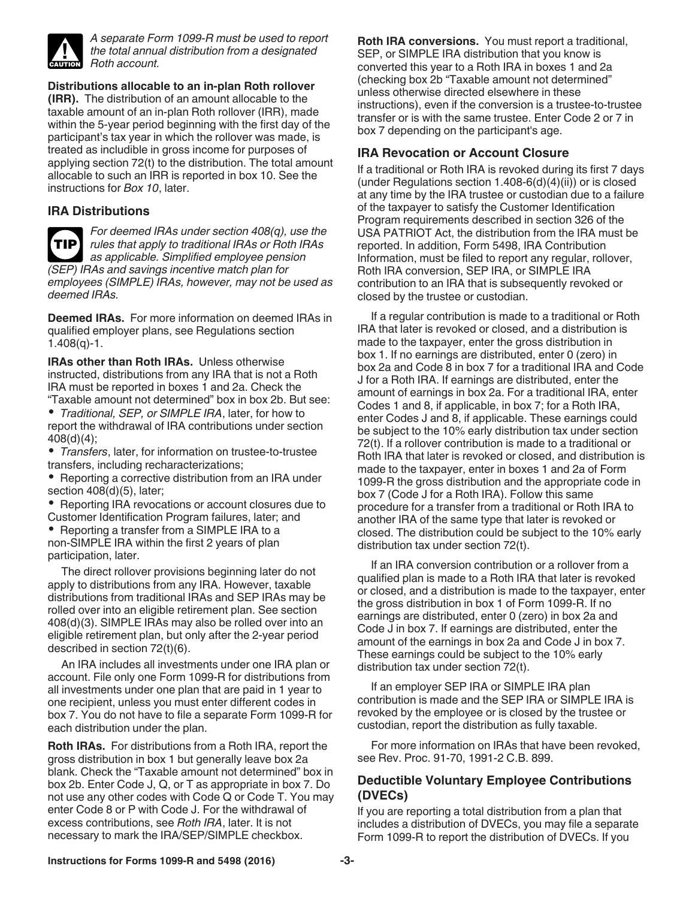

*A separate Form 1099-R must be used to report the total annual distribution from a designated Roth account.*

**Distributions allocable to an in-plan Roth rollover** 

**(IRR).** The distribution of an amount allocable to the taxable amount of an in-plan Roth rollover (IRR), made within the 5-year period beginning with the first day of the participant's tax year in which the rollover was made, is treated as includible in gross income for purposes of applying section 72(t) to the distribution. The total amount allocable to such an IRR is reported in box 10. See the instructions for *Box 10*, later.

#### **IRA Distributions**

*For deemed IRAs under section 408(q), use the rules that apply to traditional IRAs or Roth IRAs*  **TIP** *as applicable. Simplified employee pension (SEP) IRAs and savings incentive match plan for employees (SIMPLE) IRAs, however, may not be used as deemed IRAs.*

**Deemed IRAs.** For more information on deemed IRAs in qualified employer plans, see Regulations section  $1.408(q) - 1.$ 

**IRAs other than Roth IRAs.** Unless otherwise instructed, distributions from any IRA that is not a Roth IRA must be reported in boxes 1 and 2a. Check the "Taxable amount not determined" box in box 2b. But see:

*Traditional, SEP, or SIMPLE IRA*, later, for how to report the withdrawal of IRA contributions under section 408(d)(4);

*Transfers*, later, for information on trustee-to-trustee transfers, including recharacterizations;

• Reporting a corrective distribution from an IRA under section 408(d)(5), later;

• Reporting IRA revocations or account closures due to Customer Identification Program failures, later; and

• Reporting a transfer from a SIMPLE IRA to a non-SIMPLE IRA within the first 2 years of plan participation, later.

The direct rollover provisions beginning later do not apply to distributions from any IRA. However, taxable distributions from traditional IRAs and SEP IRAs may be rolled over into an eligible retirement plan. See section 408(d)(3). SIMPLE IRAs may also be rolled over into an eligible retirement plan, but only after the 2-year period described in section 72(t)(6).

An IRA includes all investments under one IRA plan or account. File only one Form 1099-R for distributions from all investments under one plan that are paid in 1 year to one recipient, unless you must enter different codes in box 7. You do not have to file a separate Form 1099-R for each distribution under the plan.

**Roth IRAs.** For distributions from a Roth IRA, report the gross distribution in box 1 but generally leave box 2a blank. Check the "Taxable amount not determined" box in box 2b. Enter Code J, Q, or T as appropriate in box 7. Do not use any other codes with Code Q or Code T. You may enter Code 8 or P with Code J. For the withdrawal of excess contributions, see *Roth IRA*, later. It is not necessary to mark the IRA/SEP/SIMPLE checkbox.

**Roth IRA conversions.** You must report a traditional, SEP, or SIMPLE IRA distribution that you know is converted this year to a Roth IRA in boxes 1 and 2a (checking box 2b "Taxable amount not determined" unless otherwise directed elsewhere in these instructions), even if the conversion is a trustee-to-trustee transfer or is with the same trustee. Enter Code 2 or 7 in box 7 depending on the participant's age.

#### **IRA Revocation or Account Closure**

If a traditional or Roth IRA is revoked during its first 7 days (under Regulations section 1.408-6(d)(4)(ii)) or is closed at any time by the IRA trustee or custodian due to a failure of the taxpayer to satisfy the Customer Identification Program requirements described in section 326 of the USA PATRIOT Act, the distribution from the IRA must be reported. In addition, Form 5498, IRA Contribution Information, must be filed to report any regular, rollover, Roth IRA conversion, SEP IRA, or SIMPLE IRA contribution to an IRA that is subsequently revoked or closed by the trustee or custodian.

If a regular contribution is made to a traditional or Roth IRA that later is revoked or closed, and a distribution is made to the taxpayer, enter the gross distribution in box 1. If no earnings are distributed, enter 0 (zero) in box 2a and Code 8 in box 7 for a traditional IRA and Code J for a Roth IRA. If earnings are distributed, enter the amount of earnings in box 2a. For a traditional IRA, enter Codes 1 and 8, if applicable, in box 7; for a Roth IRA, enter Codes J and 8, if applicable. These earnings could be subject to the 10% early distribution tax under section 72(t). If a rollover contribution is made to a traditional or Roth IRA that later is revoked or closed, and distribution is made to the taxpayer, enter in boxes 1 and 2a of Form 1099-R the gross distribution and the appropriate code in box 7 (Code J for a Roth IRA). Follow this same procedure for a transfer from a traditional or Roth IRA to another IRA of the same type that later is revoked or closed. The distribution could be subject to the 10% early distribution tax under section 72(t).

If an IRA conversion contribution or a rollover from a qualified plan is made to a Roth IRA that later is revoked or closed, and a distribution is made to the taxpayer, enter the gross distribution in box 1 of Form 1099-R. If no earnings are distributed, enter 0 (zero) in box 2a and Code J in box 7. If earnings are distributed, enter the amount of the earnings in box 2a and Code J in box 7. These earnings could be subject to the 10% early distribution tax under section 72(t).

If an employer SEP IRA or SIMPLE IRA plan contribution is made and the SEP IRA or SIMPLE IRA is revoked by the employee or is closed by the trustee or custodian, report the distribution as fully taxable.

For more information on IRAs that have been revoked, see Rev. Proc. 91-70, 1991-2 C.B. 899.

#### **Deductible Voluntary Employee Contributions (DVECs)**

If you are reporting a total distribution from a plan that includes a distribution of DVECs, you may file a separate Form 1099-R to report the distribution of DVECs. If you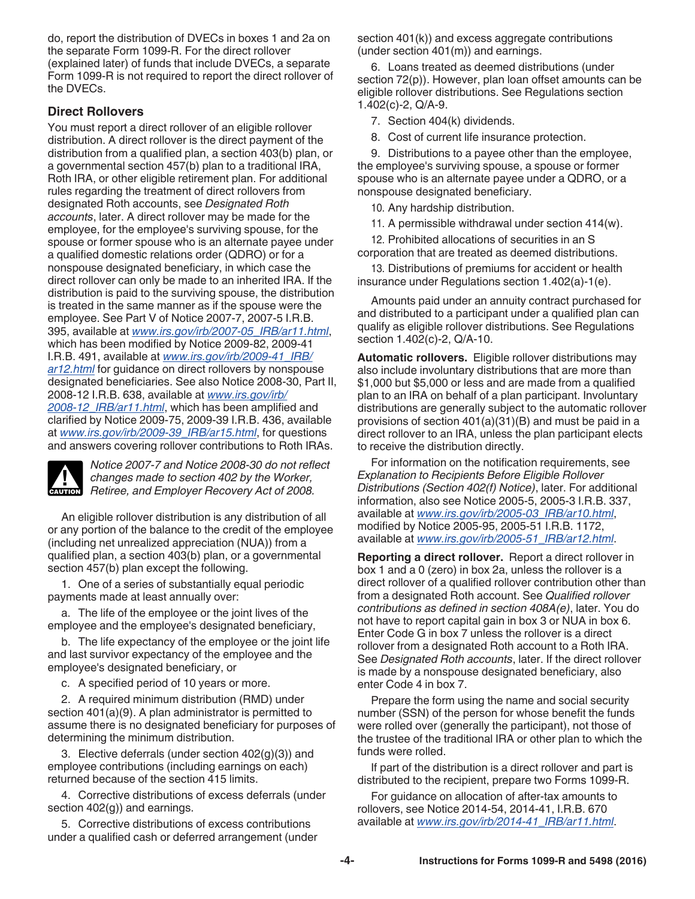do, report the distribution of DVECs in boxes 1 and 2a on the separate Form 1099-R. For the direct rollover (explained later) of funds that include DVECs, a separate Form 1099-R is not required to report the direct rollover of the DVECs.

## **Direct Rollovers**

You must report a direct rollover of an eligible rollover distribution. A direct rollover is the direct payment of the distribution from a qualified plan, a section 403(b) plan, or a governmental section 457(b) plan to a traditional IRA, Roth IRA, or other eligible retirement plan. For additional rules regarding the treatment of direct rollovers from designated Roth accounts, see *Designated Roth accounts*, later. A direct rollover may be made for the employee, for the employee's surviving spouse, for the spouse or former spouse who is an alternate payee under a qualified domestic relations order (QDRO) or for a nonspouse designated beneficiary, in which case the direct rollover can only be made to an inherited IRA. If the distribution is paid to the surviving spouse, the distribution is treated in the same manner as if the spouse were the employee. See Part V of Notice 2007-7, 2007-5 I.R.B. 395, available at *www.irs.gov/irb/2007-05\_IRB/ar11.html*, which has been modified by Notice 2009-82, 2009-41 I.R.B. 491, available at *www.irs.gov/irb/2009-41\_IRB/ ar12.html* for guidance on direct rollovers by nonspouse designated beneficiaries. See also Notice 2008-30, Part II, 2008-12 I.R.B. 638, available at *www.irs.gov/irb/ 2008-12\_IRB/ar11.html*, which has been amplified and clarified by Notice 2009-75, 2009-39 I.R.B. 436, available at *www.irs.gov/irb/2009-39\_IRB/ar15.html*, for questions and answers covering rollover contributions to Roth IRAs.



*Notice 2007-7 and Notice 2008-30 do not reflect changes made to section 402 by the Worker,*  **Retiree, and Employer Recovery Act of 2008.**<br> **Property Act of 2008.** 

An eligible rollover distribution is any distribution of all or any portion of the balance to the credit of the employee (including net unrealized appreciation (NUA)) from a qualified plan, a section 403(b) plan, or a governmental section 457(b) plan except the following.

1. One of a series of substantially equal periodic payments made at least annually over:

a. The life of the employee or the joint lives of the employee and the employee's designated beneficiary,

b. The life expectancy of the employee or the joint life and last survivor expectancy of the employee and the employee's designated beneficiary, or

c. A specified period of 10 years or more.

2. A required minimum distribution (RMD) under section 401(a)(9). A plan administrator is permitted to assume there is no designated beneficiary for purposes of determining the minimum distribution.

3. Elective deferrals (under section 402(g)(3)) and employee contributions (including earnings on each) returned because of the section 415 limits.

4. Corrective distributions of excess deferrals (under section 402(g)) and earnings.

5. Corrective distributions of excess contributions under a qualified cash or deferred arrangement (under section 401(k)) and excess aggregate contributions (under section 401(m)) and earnings.

6. Loans treated as deemed distributions (under section 72(p)). However, plan loan offset amounts can be eligible rollover distributions. See Regulations section 1.402(c)-2, Q/A-9.

7. Section 404(k) dividends.

8. Cost of current life insurance protection.

9. Distributions to a payee other than the employee, the employee's surviving spouse, a spouse or former spouse who is an alternate payee under a QDRO, or a nonspouse designated beneficiary.

10. Any hardship distribution.

11. A permissible withdrawal under section 414(w).

12. Prohibited allocations of securities in an S corporation that are treated as deemed distributions.

13. Distributions of premiums for accident or health insurance under Regulations section 1.402(a)-1(e).

Amounts paid under an annuity contract purchased for and distributed to a participant under a qualified plan can qualify as eligible rollover distributions. See Regulations section 1.402(c)-2, Q/A-10.

**Automatic rollovers.** Eligible rollover distributions may also include involuntary distributions that are more than \$1,000 but \$5,000 or less and are made from a qualified plan to an IRA on behalf of a plan participant. Involuntary distributions are generally subject to the automatic rollover provisions of section 401(a)(31)(B) and must be paid in a direct rollover to an IRA, unless the plan participant elects to receive the distribution directly.

For information on the notification requirements, see *Explanation to Recipients Before Eligible Rollover Distributions (Section 402(f) Notice)*, later. For additional information, also see Notice 2005-5, 2005-3 I.R.B. 337, available at *www.irs.gov/irb/2005-03\_IRB/ar10.html*, modified by Notice 2005-95, 2005-51 I.R.B. 1172, available at *www.irs.gov/irb/2005-51\_IRB/ar12.html*.

**Reporting a direct rollover.** Report a direct rollover in box 1 and a 0 (zero) in box 2a, unless the rollover is a direct rollover of a qualified rollover contribution other than from a designated Roth account. See *Qualified rollover contributions as defined in section 408A(e)*, later. You do not have to report capital gain in box 3 or NUA in box 6. Enter Code G in box 7 unless the rollover is a direct rollover from a designated Roth account to a Roth IRA. See *Designated Roth accounts*, later. If the direct rollover is made by a nonspouse designated beneficiary, also enter Code 4 in box 7.

Prepare the form using the name and social security number (SSN) of the person for whose benefit the funds were rolled over (generally the participant), not those of the trustee of the traditional IRA or other plan to which the funds were rolled.

If part of the distribution is a direct rollover and part is distributed to the recipient, prepare two Forms 1099-R.

For guidance on allocation of after-tax amounts to rollovers, see Notice 2014-54, 2014-41, I.R.B. 670 available at *www.irs.gov/irb/2014-41\_IRB/ar11.html*.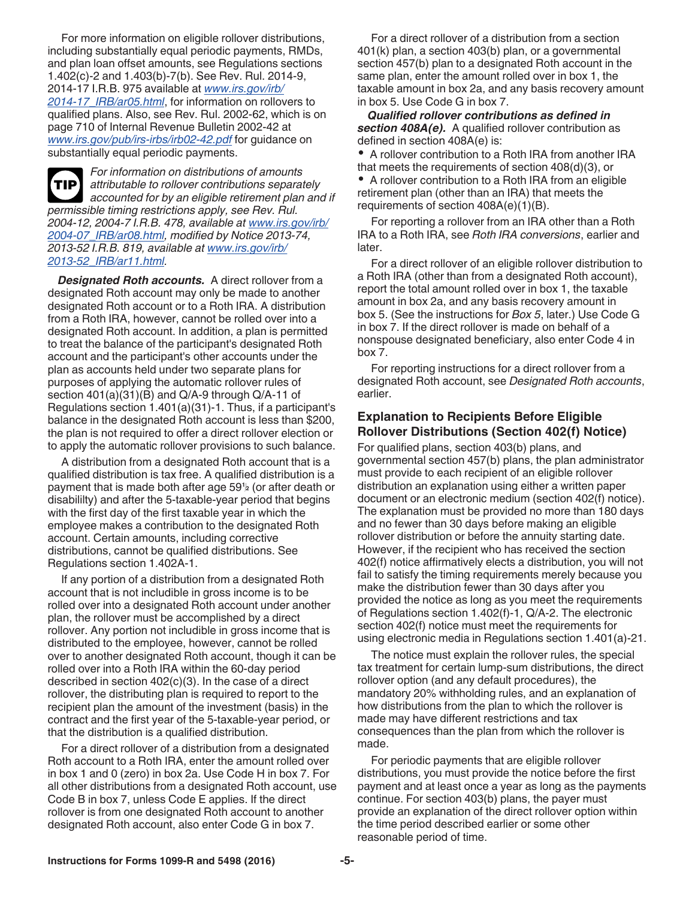For more information on eligible rollover distributions, including substantially equal periodic payments, RMDs, and plan loan offset amounts, see Regulations sections 1.402(c)-2 and 1.403(b)-7(b). See Rev. Rul. 2014-9, 2014-17 I.R.B. 975 available at *www.irs.gov/irb/ 2014-17\_IRB/ar05.html*, for information on rollovers to qualified plans. Also, see Rev. Rul. 2002-62, which is on page 710 of Internal Revenue Bulletin 2002-42 at *www.irs.gov/pub/irs-irbs/irb02-42.pdf* for guidance on substantially equal periodic payments.



*For information on distributions of amounts attributable to rollover contributions separately accounted for by an eligible retirement plan and if permissible timing restrictions apply, see Rev. Rul. 2004-12, 2004-7 I.R.B. 478, available at www.irs.gov/irb/ 2004-07\_IRB/ar08.html, modified by Notice 2013-74, 2013-52 I.R.B. 819, available at www.irs.gov/irb/ 2013-52\_IRB/ar11.html.*

*Designated Roth accounts.* A direct rollover from a designated Roth account may only be made to another designated Roth account or to a Roth IRA. A distribution from a Roth IRA, however, cannot be rolled over into a designated Roth account. In addition, a plan is permitted to treat the balance of the participant's designated Roth account and the participant's other accounts under the plan as accounts held under two separate plans for purposes of applying the automatic rollover rules of section 401(a)(31)(B) and Q/A-9 through Q/A-11 of Regulations section 1.401(a)(31)-1. Thus, if a participant's balance in the designated Roth account is less than \$200, the plan is not required to offer a direct rollover election or to apply the automatic rollover provisions to such balance.

A distribution from a designated Roth account that is a qualified distribution is tax free. A qualified distribution is a disabililty) and after the 5-taxable-year period that begins with the first day of the first taxable year in which the employee makes a contribution to the designated Roth account. Certain amounts, including corrective distributions, cannot be qualified distributions. See Regulations section 1.402A-1.

If any portion of a distribution from a designated Roth account that is not includible in gross income is to be rolled over into a designated Roth account under another plan, the rollover must be accomplished by a direct rollover. Any portion not includible in gross income that is distributed to the employee, however, cannot be rolled over to another designated Roth account, though it can be rolled over into a Roth IRA within the 60-day period described in section 402(c)(3). In the case of a direct rollover, the distributing plan is required to report to the recipient plan the amount of the investment (basis) in the contract and the first year of the 5-taxable-year period, or that the distribution is a qualified distribution.

For a direct rollover of a distribution from a designated Roth account to a Roth IRA, enter the amount rolled over in box 1 and 0 (zero) in box 2a. Use Code H in box 7. For all other distributions from a designated Roth account, use Code B in box 7, unless Code E applies. If the direct rollover is from one designated Roth account to another designated Roth account, also enter Code G in box 7.

For a direct rollover of a distribution from a section 401(k) plan, a section 403(b) plan, or a governmental section 457(b) plan to a designated Roth account in the same plan, enter the amount rolled over in box 1, the taxable amount in box 2a, and any basis recovery amount in box 5. Use Code G in box 7.

*Qualified rollover contributions as defined in section 408A(e).* A qualified rollover contribution as defined in section 408A(e) is:

A rollover contribution to a Roth IRA from another IRA that meets the requirements of section 408(d)(3), or

A rollover contribution to a Roth IRA from an eligible retirement plan (other than an IRA) that meets the requirements of section 408A(e)(1)(B).

For reporting a rollover from an IRA other than a Roth IRA to a Roth IRA, see *Roth IRA conversions*, earlier and later.

For a direct rollover of an eligible rollover distribution to a Roth IRA (other than from a designated Roth account), report the total amount rolled over in box 1, the taxable amount in box 2a, and any basis recovery amount in box 5. (See the instructions for *Box 5*, later.) Use Code G in box 7. If the direct rollover is made on behalf of a nonspouse designated beneficiary, also enter Code 4 in box 7.

For reporting instructions for a direct rollover from a designated Roth account, see *Designated Roth accounts*, earlier.

#### **Explanation to Recipients Before Eligible Rollover Distributions (Section 402(f) Notice)**

payment that is made both after age 59½ (or after death or  $\qquad$  distribution an explanation using either a written paper For qualified plans, section 403(b) plans, and governmental section 457(b) plans, the plan administrator must provide to each recipient of an eligible rollover distribution an explanation using either a written paper document or an electronic medium (section 402(f) notice). The explanation must be provided no more than 180 days and no fewer than 30 days before making an eligible rollover distribution or before the annuity starting date. However, if the recipient who has received the section 402(f) notice affirmatively elects a distribution, you will not fail to satisfy the timing requirements merely because you make the distribution fewer than 30 days after you provided the notice as long as you meet the requirements of Regulations section 1.402(f)-1, Q/A-2. The electronic section 402(f) notice must meet the requirements for using electronic media in Regulations section 1.401(a)-21.

> The notice must explain the rollover rules, the special tax treatment for certain lump-sum distributions, the direct rollover option (and any default procedures), the mandatory 20% withholding rules, and an explanation of how distributions from the plan to which the rollover is made may have different restrictions and tax consequences than the plan from which the rollover is made.

> For periodic payments that are eligible rollover distributions, you must provide the notice before the first payment and at least once a year as long as the payments continue. For section 403(b) plans, the payer must provide an explanation of the direct rollover option within the time period described earlier or some other reasonable period of time.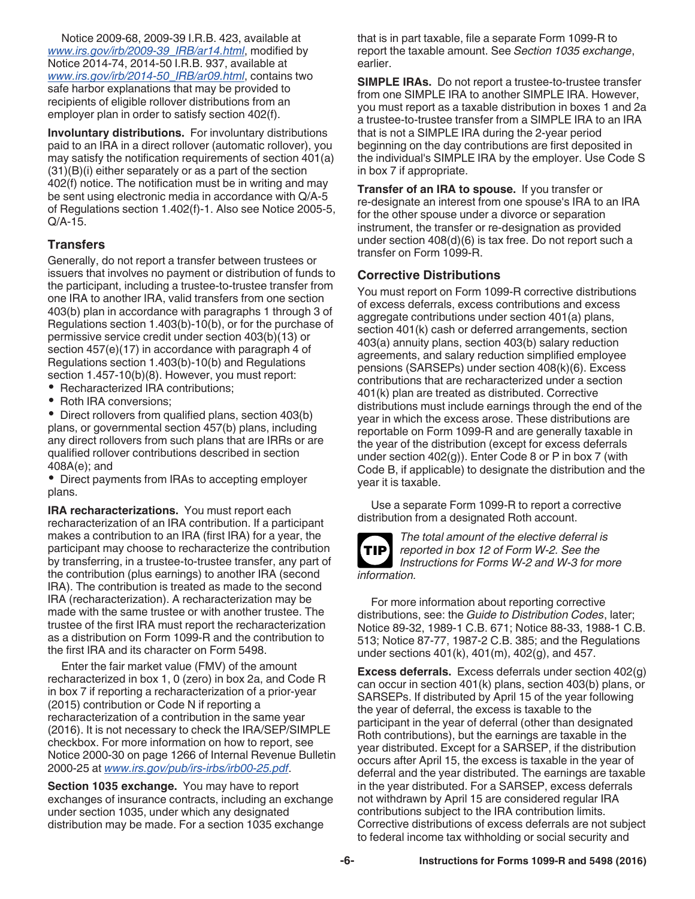Notice 2009-68, 2009-39 I.R.B. 423, available at *www.irs.gov/irb/2009-39\_IRB/ar14.html*, modified by Notice 2014-74, 2014-50 I.R.B. 937, available at *www.irs.gov/irb/2014-50\_IRB/ar09.html*, contains two safe harbor explanations that may be provided to recipients of eligible rollover distributions from an employer plan in order to satisfy section 402(f).

**Involuntary distributions.** For involuntary distributions paid to an IRA in a direct rollover (automatic rollover), you may satisfy the notification requirements of section 401(a) (31)(B)(i) either separately or as a part of the section 402(f) notice. The notification must be in writing and may be sent using electronic media in accordance with Q/A-5 of Regulations section 1.402(f)-1. Also see Notice 2005-5, Q/A-15.

## **Transfers**

Generally, do not report a transfer between trustees or issuers that involves no payment or distribution of funds to the participant, including a trustee-to-trustee transfer from one IRA to another IRA, valid transfers from one section 403(b) plan in accordance with paragraphs 1 through 3 of Regulations section 1.403(b)-10(b), or for the purchase of permissive service credit under section 403(b)(13) or section 457(e)(17) in accordance with paragraph 4 of Regulations section 1.403(b)-10(b) and Regulations section 1.457-10(b)(8). However, you must report:

- Recharacterized IRA contributions;
- Roth IRA conversions;

• Direct rollovers from qualified plans, section 403(b) plans, or governmental section 457(b) plans, including any direct rollovers from such plans that are IRRs or are qualified rollover contributions described in section 408A(e); and

Direct payments from IRAs to accepting employer plans.

**IRA recharacterizations.** You must report each recharacterization of an IRA contribution. If a participant makes a contribution to an IRA (first IRA) for a year, the participant may choose to recharacterize the contribution by transferring, in a trustee-to-trustee transfer, any part of the contribution (plus earnings) to another IRA (second IRA). The contribution is treated as made to the second IRA (recharacterization). A recharacterization may be made with the same trustee or with another trustee. The trustee of the first IRA must report the recharacterization as a distribution on Form 1099-R and the contribution to the first IRA and its character on Form 5498.

Enter the fair market value (FMV) of the amount recharacterized in box 1, 0 (zero) in box 2a, and Code R in box 7 if reporting a recharacterization of a prior-year (2015) contribution or Code N if reporting a recharacterization of a contribution in the same year (2016). It is not necessary to check the IRA/SEP/SIMPLE checkbox. For more information on how to report, see Notice 2000-30 on page 1266 of Internal Revenue Bulletin 2000-25 at *www.irs.gov/pub/irs-irbs/irb00-25.pdf*.

**Section 1035 exchange.** You may have to report exchanges of insurance contracts, including an exchange under section 1035, under which any designated distribution may be made. For a section 1035 exchange

that is in part taxable, file a separate Form 1099-R to report the taxable amount. See *Section 1035 exchange*, earlier.

**SIMPLE IRAs.** Do not report a trustee-to-trustee transfer from one SIMPLE IRA to another SIMPLE IRA. However, you must report as a taxable distribution in boxes 1 and 2a a trustee-to-trustee transfer from a SIMPLE IRA to an IRA that is not a SIMPLE IRA during the 2-year period beginning on the day contributions are first deposited in the individual's SIMPLE IRA by the employer. Use Code S in box 7 if appropriate.

**Transfer of an IRA to spouse.** If you transfer or re-designate an interest from one spouse's IRA to an IRA for the other spouse under a divorce or separation instrument, the transfer or re-designation as provided under section 408(d)(6) is tax free. Do not report such a transfer on Form 1099-R.

#### **Corrective Distributions**

You must report on Form 1099-R corrective distributions of excess deferrals, excess contributions and excess aggregate contributions under section 401(a) plans, section 401(k) cash or deferred arrangements, section 403(a) annuity plans, section 403(b) salary reduction agreements, and salary reduction simplified employee pensions (SARSEPs) under section 408(k)(6). Excess contributions that are recharacterized under a section 401(k) plan are treated as distributed. Corrective distributions must include earnings through the end of the year in which the excess arose. These distributions are reportable on Form 1099-R and are generally taxable in the year of the distribution (except for excess deferrals under section 402(g)). Enter Code 8 or P in box 7 (with Code B, if applicable) to designate the distribution and the year it is taxable.

Use a separate Form 1099-R to report a corrective distribution from a designated Roth account.



*The total amount of the elective deferral is reported in box 12 of Form W-2. See the Instructions for Forms W-2 and W-3 for more information.*

For more information about reporting corrective distributions, see: the *Guide to Distribution Codes*, later; Notice 89-32, 1989-1 C.B. 671; Notice 88-33, 1988-1 C.B. 513; Notice 87-77, 1987-2 C.B. 385; and the Regulations under sections 401(k), 401(m), 402(g), and 457.

**Excess deferrals.** Excess deferrals under section 402(g) can occur in section 401(k) plans, section 403(b) plans, or SARSEPs. If distributed by April 15 of the year following the year of deferral, the excess is taxable to the participant in the year of deferral (other than designated Roth contributions), but the earnings are taxable in the year distributed. Except for a SARSEP, if the distribution occurs after April 15, the excess is taxable in the year of deferral and the year distributed. The earnings are taxable in the year distributed. For a SARSEP, excess deferrals not withdrawn by April 15 are considered regular IRA contributions subject to the IRA contribution limits. Corrective distributions of excess deferrals are not subject to federal income tax withholding or social security and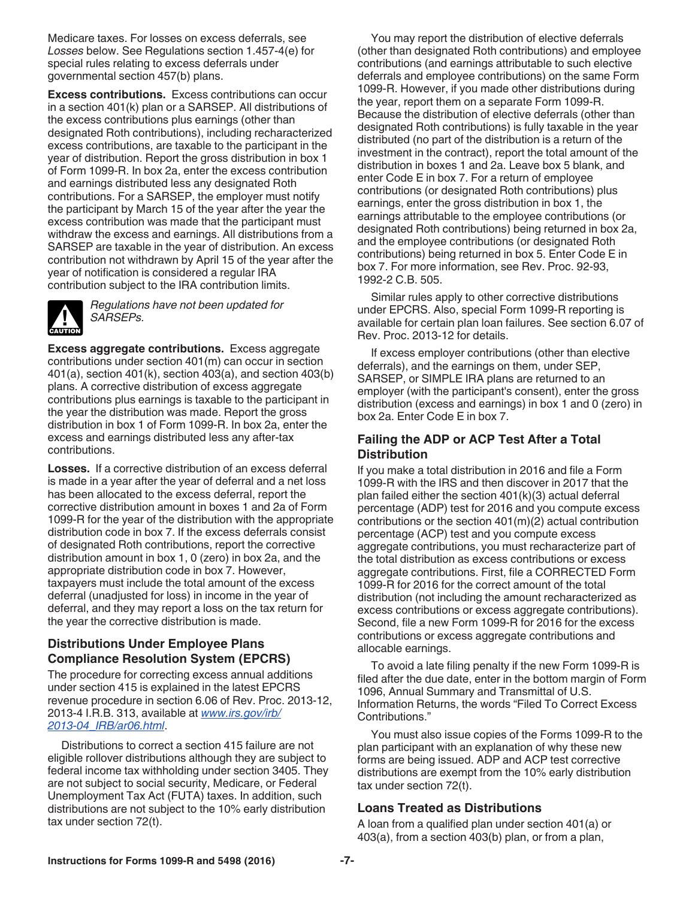Medicare taxes. For losses on excess deferrals, see *Losses* below. See Regulations section 1.457-4(e) for special rules relating to excess deferrals under governmental section 457(b) plans.

**Excess contributions.** Excess contributions can occur in a section 401(k) plan or a SARSEP. All distributions of the excess contributions plus earnings (other than designated Roth contributions), including recharacterized excess contributions, are taxable to the participant in the year of distribution. Report the gross distribution in box 1 of Form 1099-R. In box 2a, enter the excess contribution and earnings distributed less any designated Roth contributions. For a SARSEP, the employer must notify the participant by March 15 of the year after the year the excess contribution was made that the participant must withdraw the excess and earnings. All distributions from a SARSEP are taxable in the year of distribution. An excess contribution not withdrawn by April 15 of the year after the year of notification is considered a regular IRA contribution subject to the IRA contribution limits.



*Regulations have not been updated for SARSEPs.*

**Excess aggregate contributions.** Excess aggregate contributions under section 401(m) can occur in section 401(a), section 401(k), section 403(a), and section 403(b) plans. A corrective distribution of excess aggregate contributions plus earnings is taxable to the participant in the year the distribution was made. Report the gross distribution in box 1 of Form 1099-R. In box 2a, enter the excess and earnings distributed less any after-tax contributions.

**Losses.** If a corrective distribution of an excess deferral is made in a year after the year of deferral and a net loss has been allocated to the excess deferral, report the corrective distribution amount in boxes 1 and 2a of Form 1099-R for the year of the distribution with the appropriate distribution code in box 7. If the excess deferrals consist of designated Roth contributions, report the corrective distribution amount in box 1, 0 (zero) in box 2a, and the appropriate distribution code in box 7. However, taxpayers must include the total amount of the excess deferral (unadjusted for loss) in income in the year of deferral, and they may report a loss on the tax return for the year the corrective distribution is made.

## **Distributions Under Employee Plans Compliance Resolution System (EPCRS)**

The procedure for correcting excess annual additions under section 415 is explained in the latest EPCRS revenue procedure in section 6.06 of Rev. Proc. 2013-12, 2013-4 I.R.B. 313, available at *www.irs.gov/irb/ 2013-04\_IRB/ar06.html*.

Distributions to correct a section 415 failure are not eligible rollover distributions although they are subject to federal income tax withholding under section 3405. They are not subject to social security, Medicare, or Federal Unemployment Tax Act (FUTA) taxes. In addition, such distributions are not subject to the 10% early distribution tax under section 72(t).

You may report the distribution of elective deferrals (other than designated Roth contributions) and employee contributions (and earnings attributable to such elective deferrals and employee contributions) on the same Form 1099-R. However, if you made other distributions during the year, report them on a separate Form 1099-R. Because the distribution of elective deferrals (other than designated Roth contributions) is fully taxable in the year distributed (no part of the distribution is a return of the investment in the contract), report the total amount of the distribution in boxes 1 and 2a. Leave box 5 blank, and enter Code E in box 7. For a return of employee contributions (or designated Roth contributions) plus earnings, enter the gross distribution in box 1, the earnings attributable to the employee contributions (or designated Roth contributions) being returned in box 2a, and the employee contributions (or designated Roth contributions) being returned in box 5. Enter Code E in box 7. For more information, see Rev. Proc. 92-93, 1992-2 C.B. 505.

Similar rules apply to other corrective distributions under EPCRS. Also, special Form 1099-R reporting is available for certain plan loan failures. See section 6.07 of Rev. Proc. 2013-12 for details.

If excess employer contributions (other than elective deferrals), and the earnings on them, under SEP, SARSEP, or SIMPLE IRA plans are returned to an employer (with the participant's consent), enter the gross distribution (excess and earnings) in box 1 and 0 (zero) in box 2a. Enter Code E in box 7.

## **Failing the ADP or ACP Test After a Total Distribution**

If you make a total distribution in 2016 and file a Form 1099-R with the IRS and then discover in 2017 that the plan failed either the section 401(k)(3) actual deferral percentage (ADP) test for 2016 and you compute excess contributions or the section 401(m)(2) actual contribution percentage (ACP) test and you compute excess aggregate contributions, you must recharacterize part of the total distribution as excess contributions or excess aggregate contributions. First, file a CORRECTED Form 1099-R for 2016 for the correct amount of the total distribution (not including the amount recharacterized as excess contributions or excess aggregate contributions). Second, file a new Form 1099-R for 2016 for the excess contributions or excess aggregate contributions and allocable earnings.

To avoid a late filing penalty if the new Form 1099-R is filed after the due date, enter in the bottom margin of Form 1096, Annual Summary and Transmittal of U.S. Information Returns, the words "Filed To Correct Excess Contributions."

You must also issue copies of the Forms 1099-R to the plan participant with an explanation of why these new forms are being issued. ADP and ACP test corrective distributions are exempt from the 10% early distribution tax under section 72(t).

### **Loans Treated as Distributions**

A loan from a qualified plan under section 401(a) or 403(a), from a section 403(b) plan, or from a plan,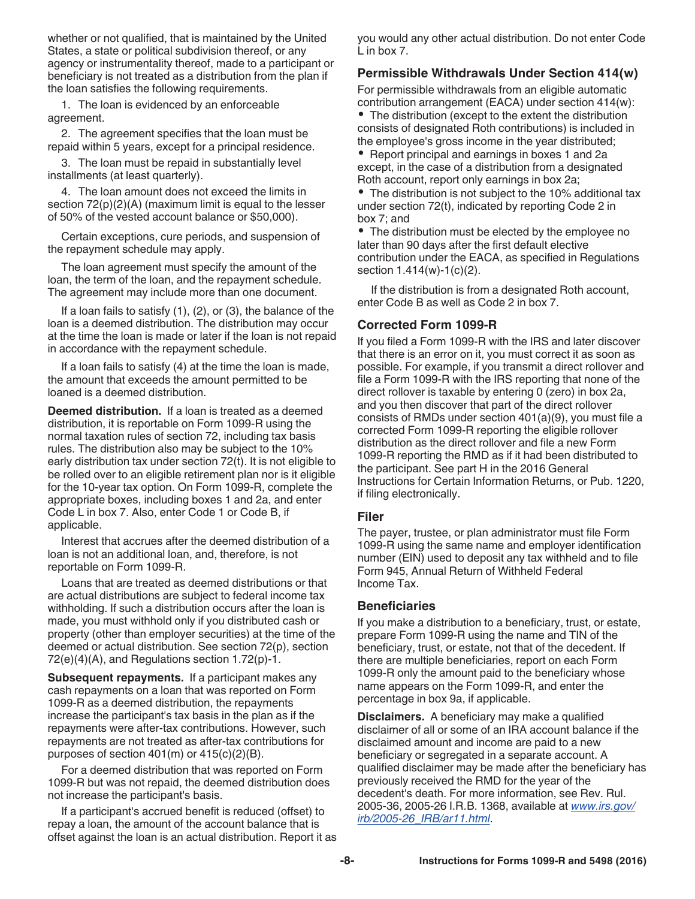whether or not qualified, that is maintained by the United States, a state or political subdivision thereof, or any agency or instrumentality thereof, made to a participant or beneficiary is not treated as a distribution from the plan if the loan satisfies the following requirements.

1. The loan is evidenced by an enforceable agreement.

2. The agreement specifies that the loan must be repaid within 5 years, except for a principal residence.

3. The loan must be repaid in substantially level installments (at least quarterly).

4. The loan amount does not exceed the limits in section 72(p)(2)(A) (maximum limit is equal to the lesser of 50% of the vested account balance or \$50,000).

Certain exceptions, cure periods, and suspension of the repayment schedule may apply.

The loan agreement must specify the amount of the loan, the term of the loan, and the repayment schedule. The agreement may include more than one document.

If a loan fails to satisfy (1), (2), or (3), the balance of the loan is a deemed distribution. The distribution may occur at the time the loan is made or later if the loan is not repaid in accordance with the repayment schedule.

If a loan fails to satisfy (4) at the time the loan is made, the amount that exceeds the amount permitted to be loaned is a deemed distribution.

**Deemed distribution.** If a loan is treated as a deemed distribution, it is reportable on Form 1099-R using the normal taxation rules of section 72, including tax basis rules. The distribution also may be subject to the 10% early distribution tax under section 72(t). It is not eligible to be rolled over to an eligible retirement plan nor is it eligible for the 10-year tax option. On Form 1099-R, complete the appropriate boxes, including boxes 1 and 2a, and enter Code L in box 7. Also, enter Code 1 or Code B, if applicable.

Interest that accrues after the deemed distribution of a loan is not an additional loan, and, therefore, is not reportable on Form 1099-R.

Loans that are treated as deemed distributions or that are actual distributions are subject to federal income tax withholding. If such a distribution occurs after the loan is made, you must withhold only if you distributed cash or property (other than employer securities) at the time of the deemed or actual distribution. See section 72(p), section 72(e)(4)(A), and Regulations section 1.72(p)-1.

**Subsequent repayments.** If a participant makes any cash repayments on a loan that was reported on Form 1099-R as a deemed distribution, the repayments increase the participant's tax basis in the plan as if the repayments were after-tax contributions. However, such repayments are not treated as after-tax contributions for purposes of section 401(m) or 415(c)(2)(B).

For a deemed distribution that was reported on Form 1099-R but was not repaid, the deemed distribution does not increase the participant's basis.

If a participant's accrued benefit is reduced (offset) to repay a loan, the amount of the account balance that is offset against the loan is an actual distribution. Report it as you would any other actual distribution. Do not enter Code L in box 7.

#### **Permissible Withdrawals Under Section 414(w)**

For permissible withdrawals from an eligible automatic contribution arrangement (EACA) under section 414(w):

The distribution (except to the extent the distribution consists of designated Roth contributions) is included in the employee's gross income in the year distributed;

• Report principal and earnings in boxes 1 and 2a except, in the case of a distribution from a designated Roth account, report only earnings in box 2a;

The distribution is not subject to the 10% additional tax under section 72(t), indicated by reporting Code 2 in box 7; and

The distribution must be elected by the employee no later than 90 days after the first default elective contribution under the EACA, as specified in Regulations section 1.414(w)-1(c)(2).

If the distribution is from a designated Roth account, enter Code B as well as Code 2 in box 7.

#### **Corrected Form 1099-R**

If you filed a Form 1099-R with the IRS and later discover that there is an error on it, you must correct it as soon as possible. For example, if you transmit a direct rollover and file a Form 1099-R with the IRS reporting that none of the direct rollover is taxable by entering 0 (zero) in box 2a, and you then discover that part of the direct rollover consists of RMDs under section 401(a)(9), you must file a corrected Form 1099-R reporting the eligible rollover distribution as the direct rollover and file a new Form 1099-R reporting the RMD as if it had been distributed to the participant. See part H in the 2016 General Instructions for Certain Information Returns, or Pub. 1220, if filing electronically.

#### **Filer**

The payer, trustee, or plan administrator must file Form 1099-R using the same name and employer identification number (EIN) used to deposit any tax withheld and to file Form 945, Annual Return of Withheld Federal Income Tax.

#### **Beneficiaries**

If you make a distribution to a beneficiary, trust, or estate, prepare Form 1099-R using the name and TIN of the beneficiary, trust, or estate, not that of the decedent. If there are multiple beneficiaries, report on each Form 1099-R only the amount paid to the beneficiary whose name appears on the Form 1099-R, and enter the percentage in box 9a, if applicable.

**Disclaimers.** A beneficiary may make a qualified disclaimer of all or some of an IRA account balance if the disclaimed amount and income are paid to a new beneficiary or segregated in a separate account. A qualified disclaimer may be made after the beneficiary has previously received the RMD for the year of the decedent's death. For more information, see Rev. Rul. 2005-36, 2005-26 I.R.B. 1368, available at *www.irs.gov/ irb/2005-26\_IRB/ar11.html*.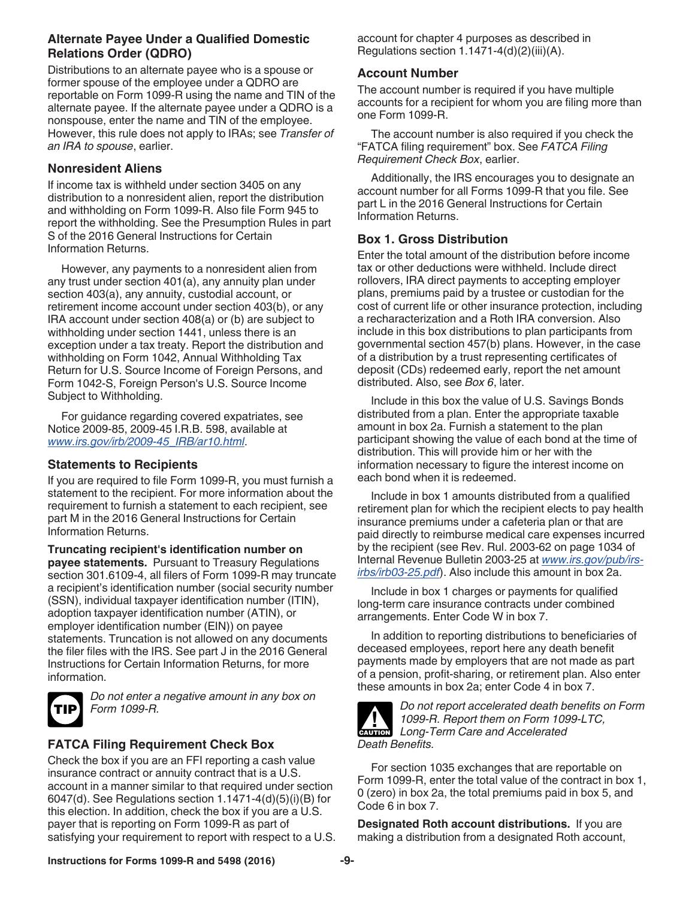## **Alternate Payee Under a Qualified Domestic Relations Order (QDRO)**

Distributions to an alternate payee who is a spouse or former spouse of the employee under a QDRO are reportable on Form 1099-R using the name and TIN of the alternate payee. If the alternate payee under a QDRO is a nonspouse, enter the name and TIN of the employee. However, this rule does not apply to IRAs; see *Transfer of an IRA to spouse*, earlier.

### **Nonresident Aliens**

If income tax is withheld under section 3405 on any distribution to a nonresident alien, report the distribution and withholding on Form 1099-R. Also file Form 945 to report the withholding. See the Presumption Rules in part S of the 2016 General Instructions for Certain Information Returns.

However, any payments to a nonresident alien from any trust under section 401(a), any annuity plan under section 403(a), any annuity, custodial account, or retirement income account under section 403(b), or any IRA account under section 408(a) or (b) are subject to withholding under section 1441, unless there is an exception under a tax treaty. Report the distribution and withholding on Form 1042, Annual Withholding Tax Return for U.S. Source Income of Foreign Persons, and Form 1042-S, Foreign Person's U.S. Source Income Subject to Withholding.

For guidance regarding covered expatriates, see Notice 2009-85, 2009-45 I.R.B. 598, available at *www.irs.gov/irb/2009-45\_IRB/ar10.html*.

### **Statements to Recipients**

If you are required to file Form 1099-R, you must furnish a statement to the recipient. For more information about the requirement to furnish a statement to each recipient, see part M in the 2016 General Instructions for Certain Information Returns.

**Truncating recipient's identification number on payee statements.** Pursuant to Treasury Regulations section 301.6109-4, all filers of Form 1099-R may truncate a recipient's identification number (social security number (SSN), individual taxpayer identification number (ITIN), adoption taxpayer identification number (ATIN), or employer identification number (EIN)) on payee statements. Truncation is not allowed on any documents the filer files with the IRS. See part J in the 2016 General Instructions for Certain Information Returns, for more information.



*Do not enter a negative amount in any box on Form 1099-R.*

# **FATCA Filing Requirement Check Box**

Check the box if you are an FFI reporting a cash value insurance contract or annuity contract that is a U.S. account in a manner similar to that required under section 6047(d). See Regulations section 1.1471-4(d)(5)(i)(B) for this election. In addition, check the box if you are a U.S. payer that is reporting on Form 1099-R as part of satisfying your requirement to report with respect to a U.S. account for chapter 4 purposes as described in Regulations section 1.1471-4(d)(2)(iii)(A).

## **Account Number**

The account number is required if you have multiple accounts for a recipient for whom you are filing more than one Form 1099-R.

The account number is also required if you check the "FATCA filing requirement" box. See *FATCA Filing Requirement Check Box*, earlier.

Additionally, the IRS encourages you to designate an account number for all Forms 1099-R that you file. See part L in the 2016 General Instructions for Certain Information Returns.

### **Box 1. Gross Distribution**

Enter the total amount of the distribution before income tax or other deductions were withheld. Include direct rollovers, IRA direct payments to accepting employer plans, premiums paid by a trustee or custodian for the cost of current life or other insurance protection, including a recharacterization and a Roth IRA conversion. Also include in this box distributions to plan participants from governmental section 457(b) plans. However, in the case of a distribution by a trust representing certificates of deposit (CDs) redeemed early, report the net amount distributed. Also, see *Box 6*, later.

Include in this box the value of U.S. Savings Bonds distributed from a plan. Enter the appropriate taxable amount in box 2a. Furnish a statement to the plan participant showing the value of each bond at the time of distribution. This will provide him or her with the information necessary to figure the interest income on each bond when it is redeemed.

Include in box 1 amounts distributed from a qualified retirement plan for which the recipient elects to pay health insurance premiums under a cafeteria plan or that are paid directly to reimburse medical care expenses incurred by the recipient (see Rev. Rul. 2003-62 on page 1034 of Internal Revenue Bulletin 2003-25 at *www.irs.gov/pub/irsirbs/irb03-25.pdf*). Also include this amount in box 2a.

Include in box 1 charges or payments for qualified long-term care insurance contracts under combined arrangements. Enter Code W in box 7.

In addition to reporting distributions to beneficiaries of deceased employees, report here any death benefit payments made by employers that are not made as part of a pension, profit-sharing, or retirement plan. Also enter these amounts in box 2a; enter Code 4 in box 7.



*Do not report accelerated death benefits on Form 1099-R. Report them on Form 1099-LTC,*  **Long-Term Care and Accelerated**<br> **CAUTION** *Death Benefits.*

For section 1035 exchanges that are reportable on Form 1099-R, enter the total value of the contract in box 1, 0 (zero) in box 2a, the total premiums paid in box 5, and Code 6 in box 7.

**Designated Roth account distributions.** If you are making a distribution from a designated Roth account,

### **Instructions for Forms 1099-R and 5498 (2016) -9-**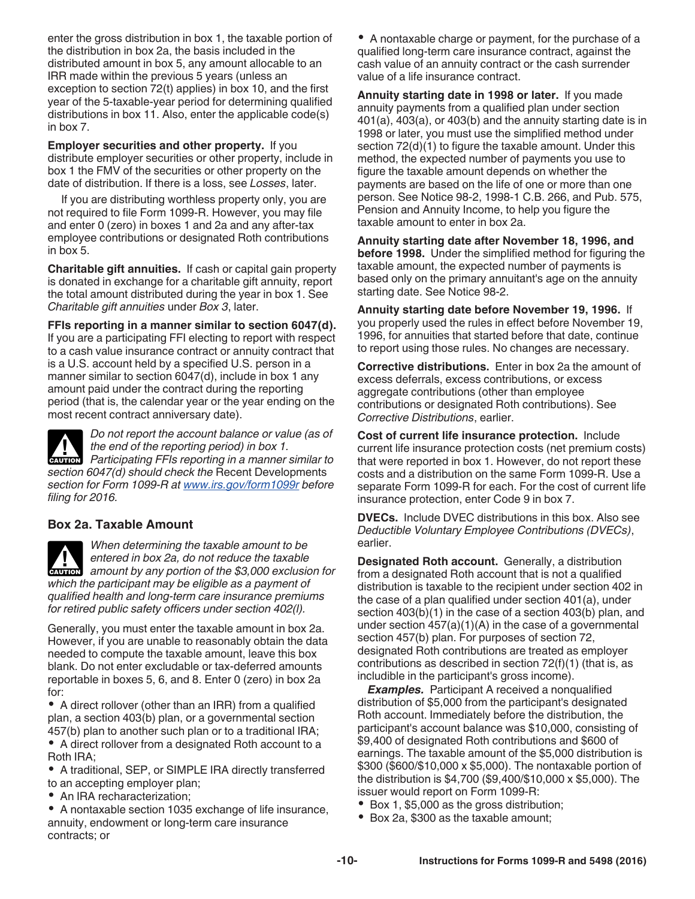enter the gross distribution in box 1, the taxable portion of the distribution in box 2a, the basis included in the distributed amount in box 5, any amount allocable to an IRR made within the previous 5 years (unless an exception to section 72(t) applies) in box 10, and the first year of the 5-taxable-year period for determining qualified distributions in box 11. Also, enter the applicable code(s) in box 7.

**Employer securities and other property.** If you distribute employer securities or other property, include in box 1 the FMV of the securities or other property on the date of distribution. If there is a loss, see *Losses*, later.

If you are distributing worthless property only, you are not required to file Form 1099-R. However, you may file and enter 0 (zero) in boxes 1 and 2a and any after-tax employee contributions or designated Roth contributions in box 5.

**Charitable gift annuities.** If cash or capital gain property is donated in exchange for a charitable gift annuity, report the total amount distributed during the year in box 1. See *Charitable gift annuities* under *Box 3*, later.

**FFIs reporting in a manner similar to section 6047(d).**  If you are a participating FFI electing to report with respect

to a cash value insurance contract or annuity contract that is a U.S. account held by a specified U.S. person in a manner similar to section 6047(d), include in box 1 any amount paid under the contract during the reporting period (that is, the calendar year or the year ending on the most recent contract anniversary date).

*Do not report the account balance or value (as of the end of the reporting period) in box 1.*  **Participating FFIs reporting in a manner similar to Participating FFIs reporting in a manner similar to** *section 6047(d) should check the* Recent Developments *section for Form 1099-R at www.irs.gov/form1099r before filing for 2016.*

## **Box 2a. Taxable Amount**

*When determining the taxable amount to be entered in box 2a, do not reduce the taxable*  **and a** amount by any portion of the \$3,000 exclusion for **caution** *which the participant may be eligible as a payment of qualified health and long-term care insurance premiums for retired public safety officers under section 402(l).*

Generally, you must enter the taxable amount in box 2a. However, if you are unable to reasonably obtain the data needed to compute the taxable amount, leave this box blank. Do not enter excludable or tax-deferred amounts reportable in boxes 5, 6, and 8. Enter 0 (zero) in box 2a for:

A direct rollover (other than an IRR) from a qualified plan, a section 403(b) plan, or a governmental section 457(b) plan to another such plan or to a traditional IRA;

A direct rollover from a designated Roth account to a Roth IRA;

A traditional, SEP, or SIMPLE IRA directly transferred to an accepting employer plan;

• An IRA recharacterization;

A nontaxable section 1035 exchange of life insurance, annuity, endowment or long-term care insurance contracts; or

A nontaxable charge or payment, for the purchase of a qualified long-term care insurance contract, against the cash value of an annuity contract or the cash surrender value of a life insurance contract.

**Annuity starting date in 1998 or later.** If you made annuity payments from a qualified plan under section 401(a), 403(a), or 403(b) and the annuity starting date is in 1998 or later, you must use the simplified method under section 72(d)(1) to figure the taxable amount. Under this method, the expected number of payments you use to figure the taxable amount depends on whether the payments are based on the life of one or more than one person. See Notice 98-2, 1998-1 C.B. 266, and Pub. 575, Pension and Annuity Income, to help you figure the taxable amount to enter in box 2a.

**Annuity starting date after November 18, 1996, and before 1998.** Under the simplified method for figuring the taxable amount, the expected number of payments is based only on the primary annuitant's age on the annuity starting date. See Notice 98-2.

**Annuity starting date before November 19, 1996.** If you properly used the rules in effect before November 19, 1996, for annuities that started before that date, continue to report using those rules. No changes are necessary.

**Corrective distributions.** Enter in box 2a the amount of excess deferrals, excess contributions, or excess aggregate contributions (other than employee contributions or designated Roth contributions). See *Corrective Distributions*, earlier.

**Cost of current life insurance protection.** Include current life insurance protection costs (net premium costs) that were reported in box 1. However, do not report these costs and a distribution on the same Form 1099-R. Use a separate Form 1099-R for each. For the cost of current life insurance protection, enter Code 9 in box 7.

**DVECs.** Include DVEC distributions in this box. Also see *Deductible Voluntary Employee Contributions (DVECs)*, earlier.

**Designated Roth account.** Generally, a distribution from a designated Roth account that is not a qualified distribution is taxable to the recipient under section 402 in the case of a plan qualified under section 401(a), under section 403(b)(1) in the case of a section 403(b) plan, and under section 457(a)(1)(A) in the case of a governmental section 457(b) plan. For purposes of section 72, designated Roth contributions are treated as employer contributions as described in section 72(f)(1) (that is, as includible in the participant's gross income).

*Examples.* Participant A received a nonqualified distribution of \$5,000 from the participant's designated Roth account. Immediately before the distribution, the participant's account balance was \$10,000, consisting of \$9,400 of designated Roth contributions and \$600 of earnings. The taxable amount of the \$5,000 distribution is \$300 (\$600/\$10,000 x \$5,000). The nontaxable portion of the distribution is \$4,700 (\$9,400/\$10,000 x \$5,000). The issuer would report on Form 1099-R:

- Box 1, \$5,000 as the gross distribution;
- Box 2a, \$300 as the taxable amount;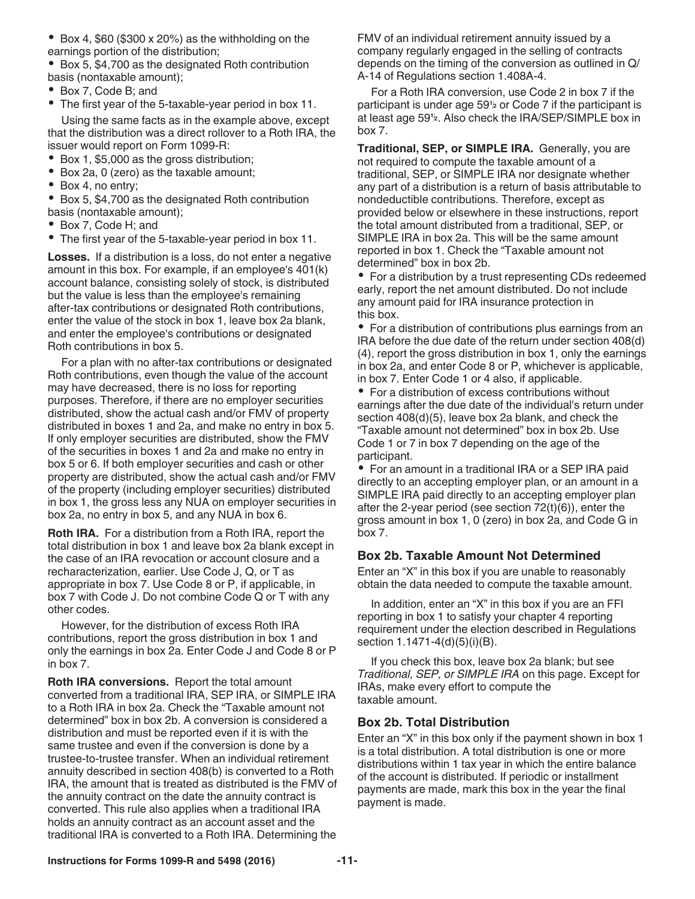$\bullet$  Box 4, \$60 (\$300 x 20%) as the withholding on the earnings portion of the distribution;

Box 5, \$4,700 as the designated Roth contribution basis (nontaxable amount);

- Box 7, Code B; and
- The first year of the 5-taxable-year period in box 11.

Using the same facts as in the example above, except that the distribution was a direct rollover to a Roth IRA, the issuer would report on Form 1099-R:

- Box 1, \$5,000 as the gross distribution;
- Box 2a, 0 (zero) as the taxable amount;
- Box 4, no entry;

Box 5, \$4,700 as the designated Roth contribution basis (nontaxable amount);

- Box 7, Code H; and
- The first year of the 5-taxable-year period in box 11.

**Losses.** If a distribution is a loss, do not enter a negative amount in this box. For example, if an employee's 401(k) account balance, consisting solely of stock, is distributed but the value is less than the employee's remaining after-tax contributions or designated Roth contributions, enter the value of the stock in box 1, leave box 2a blank, and enter the employee's contributions or designated Roth contributions in box 5.

For a plan with no after-tax contributions or designated Roth contributions, even though the value of the account may have decreased, there is no loss for reporting purposes. Therefore, if there are no employer securities distributed, show the actual cash and/or FMV of property distributed in boxes 1 and 2a, and make no entry in box 5. If only employer securities are distributed, show the FMV of the securities in boxes 1 and 2a and make no entry in box 5 or 6. If both employer securities and cash or other property are distributed, show the actual cash and/or FMV of the property (including employer securities) distributed in box 1, the gross less any NUA on employer securities in box 2a, no entry in box 5, and any NUA in box 6.

**Roth IRA.** For a distribution from a Roth IRA, report the total distribution in box 1 and leave box 2a blank except in the case of an IRA revocation or account closure and a recharacterization, earlier. Use Code J, Q, or T as appropriate in box 7. Use Code 8 or P, if applicable, in box 7 with Code J. Do not combine Code Q or T with any other codes.

However, for the distribution of excess Roth IRA contributions, report the gross distribution in box 1 and only the earnings in box 2a. Enter Code J and Code 8 or P in box 7.

**Roth IRA conversions.** Report the total amount converted from a traditional IRA, SEP IRA, or SIMPLE IRA to a Roth IRA in box 2a. Check the "Taxable amount not determined" box in box 2b. A conversion is considered a distribution and must be reported even if it is with the same trustee and even if the conversion is done by a trustee-to-trustee transfer. When an individual retirement annuity described in section 408(b) is converted to a Roth IRA, the amount that is treated as distributed is the FMV of the annuity contract on the date the annuity contract is converted. This rule also applies when a traditional IRA holds an annuity contract as an account asset and the traditional IRA is converted to a Roth IRA. Determining the

FMV of an individual retirement annuity issued by a company regularly engaged in the selling of contracts depends on the timing of the conversion as outlined in Q/ A-14 of Regulations section 1.408A-4.

For a Roth IRA conversion, use Code 2 in box 7 if the participant is under age 59**<sup>1</sup> <sup>2</sup>** or Code 7 if the participant is at least age 59**<sup>1</sup> <sup>2</sup>**. Also check the IRA/SEP/SIMPLE box in box 7.

**Traditional, SEP, or SIMPLE IRA.** Generally, you are not required to compute the taxable amount of a traditional, SEP, or SIMPLE IRA nor designate whether any part of a distribution is a return of basis attributable to nondeductible contributions. Therefore, except as provided below or elsewhere in these instructions, report the total amount distributed from a traditional, SEP, or SIMPLE IRA in box 2a. This will be the same amount reported in box 1. Check the "Taxable amount not determined" box in box 2b.

For a distribution by a trust representing CDs redeemed early, report the net amount distributed. Do not include any amount paid for IRA insurance protection in this box.

• For a distribution of contributions plus earnings from an IRA before the due date of the return under section 408(d) (4), report the gross distribution in box 1, only the earnings in box 2a, and enter Code 8 or P, whichever is applicable, in box 7. Enter Code 1 or 4 also, if applicable.

For a distribution of excess contributions without earnings after the due date of the individual's return under section 408(d)(5), leave box 2a blank, and check the "Taxable amount not determined" box in box 2b. Use Code 1 or 7 in box 7 depending on the age of the participant.

For an amount in a traditional IRA or a SEP IRA paid directly to an accepting employer plan, or an amount in a SIMPLE IRA paid directly to an accepting employer plan after the 2-year period (see section 72(t)(6)), enter the gross amount in box 1, 0 (zero) in box 2a, and Code G in box 7.

### **Box 2b. Taxable Amount Not Determined**

Enter an "X" in this box if you are unable to reasonably obtain the data needed to compute the taxable amount.

In addition, enter an "X" in this box if you are an FFI reporting in box 1 to satisfy your chapter 4 reporting requirement under the election described in Regulations section 1.1471-4(d)(5)(i)(B).

If you check this box, leave box 2a blank; but see *Traditional, SEP, or SIMPLE IRA* on this page. Except for IRAs, make every effort to compute the taxable amount.

#### **Box 2b. Total Distribution**

Enter an "X" in this box only if the payment shown in box 1 is a total distribution. A total distribution is one or more distributions within 1 tax year in which the entire balance of the account is distributed. If periodic or installment payments are made, mark this box in the year the final payment is made.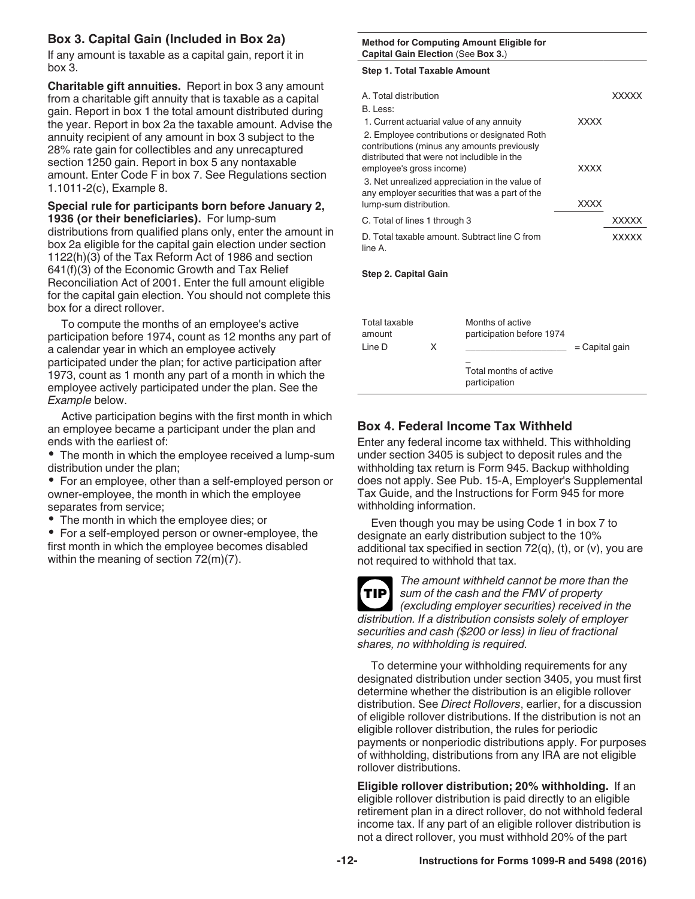## **Box 3. Capital Gain (Included in Box 2a)**

If any amount is taxable as a capital gain, report it in box 3.

**Charitable gift annuities.** Report in box 3 any amount from a charitable gift annuity that is taxable as a capital gain. Report in box 1 the total amount distributed during the year. Report in box 2a the taxable amount. Advise the annuity recipient of any amount in box 3 subject to the 28% rate gain for collectibles and any unrecaptured section 1250 gain. Report in box 5 any nontaxable amount. Enter Code F in box 7. See Regulations section 1.1011-2(c), Example 8.

#### **Special rule for participants born before January 2, 1936 (or their beneficiaries).** For lump-sum

distributions from qualified plans only, enter the amount in box 2a eligible for the capital gain election under section 1122(h)(3) of the Tax Reform Act of 1986 and section 641(f)(3) of the Economic Growth and Tax Relief Reconciliation Act of 2001. Enter the full amount eligible for the capital gain election. You should not complete this box for a direct rollover.

To compute the months of an employee's active participation before 1974, count as 12 months any part of a calendar year in which an employee actively participated under the plan; for active participation after 1973, count as 1 month any part of a month in which the employee actively participated under the plan. See the *Example* below.

Active participation begins with the first month in which an employee became a participant under the plan and ends with the earliest of:

The month in which the employee received a lump-sum distribution under the plan;

For an employee, other than a self-employed person or owner-employee, the month in which the employee separates from service;

The month in which the employee dies; or

For a self-employed person or owner-employee, the first month in which the employee becomes disabled within the meaning of section 72(m)(7).

#### **Method for Computing Amount Eligible for Capital Gain Election** (See **Box 3.**)

#### **Step 1. Total Taxable Amount**

| A. Total distribution                          |             |              |
|------------------------------------------------|-------------|--------------|
| B. Less:                                       |             |              |
| 1. Current actuarial value of any annuity      | <b>XXXX</b> |              |
| 2. Employee contributions or designated Roth   |             |              |
| contributions (minus any amounts previously    |             |              |
| distributed that were not includible in the    |             |              |
| employee's gross income)                       | <b>XXXX</b> |              |
| 3. Net unrealized appreciation in the value of |             |              |
| any employer securities that was a part of the |             |              |
| lump-sum distribution.                         | <b>XXXX</b> |              |
| C. Total of lines 1 through 3                  |             | <b>XXXXX</b> |
| D. Total taxable amount. Subtract line C from  |             | XXXXX        |
| line A.                                        |             |              |
|                                                |             |              |

#### **Step 2. Capital Gain**

| Total taxable<br>amount<br>Line D | x | Months of active<br>participation before 1974 | $=$ Capital gain |
|-----------------------------------|---|-----------------------------------------------|------------------|
|                                   |   | Total months of active<br>participation       |                  |

# **Box 4. Federal Income Tax Withheld**

Enter any federal income tax withheld. This withholding under section 3405 is subject to deposit rules and the withholding tax return is Form 945. Backup withholding does not apply. See Pub. 15-A, Employer's Supplemental Tax Guide, and the Instructions for Form 945 for more withholding information.

Even though you may be using Code 1 in box 7 to designate an early distribution subject to the 10% additional tax specified in section 72(q), (t), or (v), you are not required to withhold that tax.

*The amount withheld cannot be more than the sum of the cash and the FMV of property (excluding employer securities) received in the distribution. If a distribution consists solely of employer securities and cash (\$200 or less) in lieu of fractional shares, no withholding is required.* **TIP**

To determine your withholding requirements for any designated distribution under section 3405, you must first determine whether the distribution is an eligible rollover distribution. See *Direct Rollovers*, earlier, for a discussion of eligible rollover distributions. If the distribution is not an eligible rollover distribution, the rules for periodic payments or nonperiodic distributions apply. For purposes of withholding, distributions from any IRA are not eligible rollover distributions.

**Eligible rollover distribution; 20% withholding.** If an eligible rollover distribution is paid directly to an eligible retirement plan in a direct rollover, do not withhold federal income tax. If any part of an eligible rollover distribution is not a direct rollover, you must withhold 20% of the part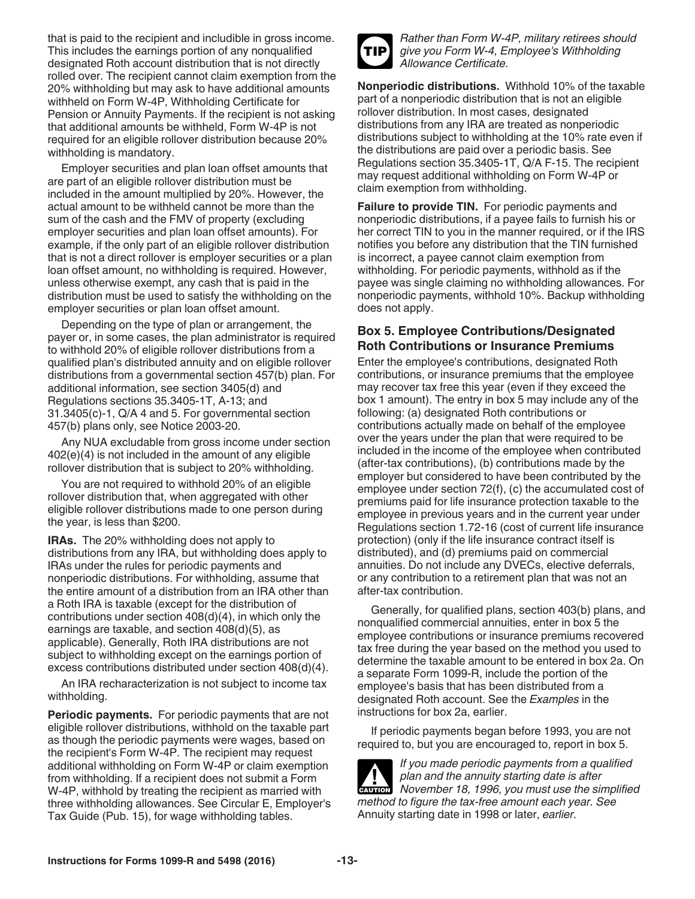that is paid to the recipient and includible in gross income. This includes the earnings portion of any nonqualified designated Roth account distribution that is not directly rolled over. The recipient cannot claim exemption from the 20% withholding but may ask to have additional amounts withheld on Form W-4P, Withholding Certificate for Pension or Annuity Payments. If the recipient is not asking that additional amounts be withheld, Form W-4P is not required for an eligible rollover distribution because 20% withholding is mandatory.

Employer securities and plan loan offset amounts that are part of an eligible rollover distribution must be included in the amount multiplied by 20%. However, the actual amount to be withheld cannot be more than the sum of the cash and the FMV of property (excluding employer securities and plan loan offset amounts). For example, if the only part of an eligible rollover distribution that is not a direct rollover is employer securities or a plan loan offset amount, no withholding is required. However, unless otherwise exempt, any cash that is paid in the distribution must be used to satisfy the withholding on the employer securities or plan loan offset amount.

Depending on the type of plan or arrangement, the payer or, in some cases, the plan administrator is required to withhold 20% of eligible rollover distributions from a qualified plan's distributed annuity and on eligible rollover distributions from a governmental section 457(b) plan. For additional information, see section 3405(d) and Regulations sections 35.3405-1T, A-13; and 31.3405(c)-1, Q/A 4 and 5. For governmental section 457(b) plans only, see Notice 2003-20.

Any NUA excludable from gross income under section 402(e)(4) is not included in the amount of any eligible rollover distribution that is subject to 20% withholding.

You are not required to withhold 20% of an eligible rollover distribution that, when aggregated with other eligible rollover distributions made to one person during the year, is less than \$200.

**IRAs.** The 20% withholding does not apply to distributions from any IRA, but withholding does apply to IRAs under the rules for periodic payments and nonperiodic distributions. For withholding, assume that the entire amount of a distribution from an IRA other than a Roth IRA is taxable (except for the distribution of contributions under section 408(d)(4), in which only the earnings are taxable, and section 408(d)(5), as applicable). Generally, Roth IRA distributions are not subject to withholding except on the earnings portion of excess contributions distributed under section 408(d)(4).

An IRA recharacterization is not subject to income tax withholding.

**Periodic payments.** For periodic payments that are not eligible rollover distributions, withhold on the taxable part as though the periodic payments were wages, based on the recipient's Form W-4P. The recipient may request additional withholding on Form W-4P or claim exemption from withholding. If a recipient does not submit a Form W-4P, withhold by treating the recipient as married with three withholding allowances. See Circular E, Employer's Tax Guide (Pub. 15), for wage withholding tables.



*Rather than Form W-4P, military retirees should give you Form W-4, Employee's Withholding Allowance Certificate.*

**Nonperiodic distributions.** Withhold 10% of the taxable part of a nonperiodic distribution that is not an eligible rollover distribution. In most cases, designated distributions from any IRA are treated as nonperiodic distributions subject to withholding at the 10% rate even if the distributions are paid over a periodic basis. See Regulations section 35.3405-1T, Q/A F-15. The recipient may request additional withholding on Form W-4P or claim exemption from withholding.

**Failure to provide TIN.** For periodic payments and nonperiodic distributions, if a payee fails to furnish his or her correct TIN to you in the manner required, or if the IRS notifies you before any distribution that the TIN furnished is incorrect, a payee cannot claim exemption from withholding. For periodic payments, withhold as if the payee was single claiming no withholding allowances. For nonperiodic payments, withhold 10%. Backup withholding does not apply.

### **Box 5. Employee Contributions/Designated Roth Contributions or Insurance Premiums**

Enter the employee's contributions, designated Roth contributions, or insurance premiums that the employee may recover tax free this year (even if they exceed the box 1 amount). The entry in box 5 may include any of the following: (a) designated Roth contributions or contributions actually made on behalf of the employee over the years under the plan that were required to be included in the income of the employee when contributed (after-tax contributions), (b) contributions made by the employer but considered to have been contributed by the employee under section 72(f), (c) the accumulated cost of premiums paid for life insurance protection taxable to the employee in previous years and in the current year under Regulations section 1.72-16 (cost of current life insurance protection) (only if the life insurance contract itself is distributed), and (d) premiums paid on commercial annuities. Do not include any DVECs, elective deferrals, or any contribution to a retirement plan that was not an after-tax contribution.

Generally, for qualified plans, section 403(b) plans, and nonqualified commercial annuities, enter in box 5 the employee contributions or insurance premiums recovered tax free during the year based on the method you used to determine the taxable amount to be entered in box 2a. On a separate Form 1099-R, include the portion of the employee's basis that has been distributed from a designated Roth account. See the *Examples* in the instructions for box 2a, earlier.

If periodic payments began before 1993, you are not required to, but you are encouraged to, report in box 5.

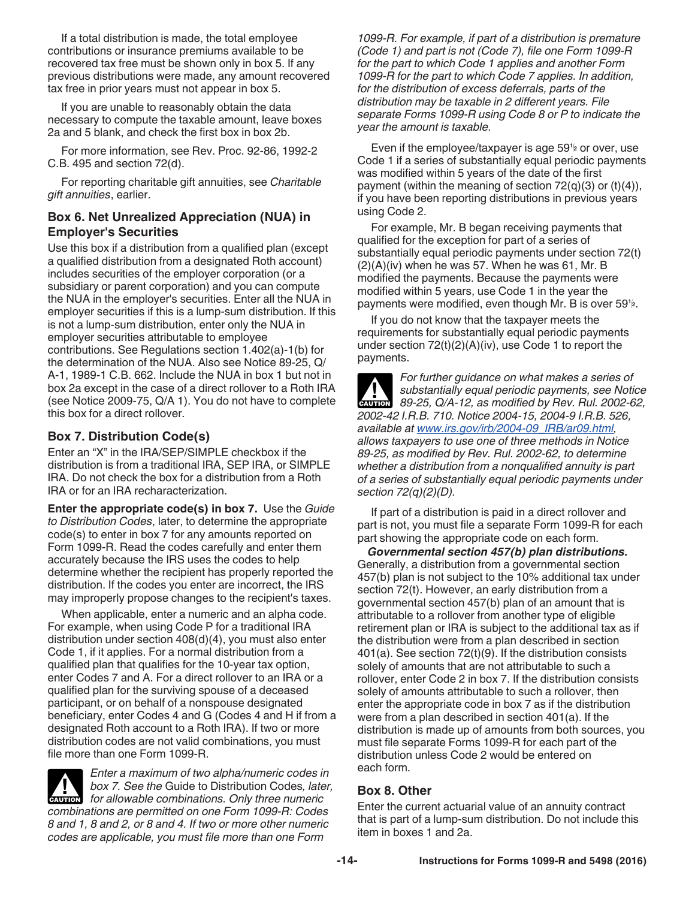If a total distribution is made, the total employee contributions or insurance premiums available to be recovered tax free must be shown only in box 5. If any previous distributions were made, any amount recovered tax free in prior years must not appear in box 5.

If you are unable to reasonably obtain the data necessary to compute the taxable amount, leave boxes 2a and 5 blank, and check the first box in box 2b.

For more information, see Rev. Proc. 92-86, 1992-2 C.B. 495 and section 72(d).

For reporting charitable gift annuities, see *Charitable gift annuities*, earlier.

#### **Box 6. Net Unrealized Appreciation (NUA) in Employer's Securities**

Use this box if a distribution from a qualified plan (except a qualified distribution from a designated Roth account) includes securities of the employer corporation (or a subsidiary or parent corporation) and you can compute the NUA in the employer's securities. Enter all the NUA in employer securities if this is a lump-sum distribution. If this is not a lump-sum distribution, enter only the NUA in employer securities attributable to employee contributions. See Regulations section 1.402(a)-1(b) for the determination of the NUA. Also see Notice 89-25, Q/ A-1, 1989-1 C.B. 662. Include the NUA in box 1 but not in box 2a except in the case of a direct rollover to a Roth IRA (see Notice 2009-75, Q/A 1). You do not have to complete this box for a direct rollover.

## **Box 7. Distribution Code(s)**

Enter an "X" in the IRA/SEP/SIMPLE checkbox if the distribution is from a traditional IRA, SEP IRA, or SIMPLE IRA. Do not check the box for a distribution from a Roth IRA or for an IRA recharacterization.

**Enter the appropriate code(s) in box 7.** Use the *Guide to Distribution Codes*, later, to determine the appropriate code(s) to enter in box 7 for any amounts reported on Form 1099-R. Read the codes carefully and enter them accurately because the IRS uses the codes to help determine whether the recipient has properly reported the distribution. If the codes you enter are incorrect, the IRS may improperly propose changes to the recipient's taxes.

When applicable, enter a numeric and an alpha code. For example, when using Code P for a traditional IRA distribution under section 408(d)(4), you must also enter Code 1, if it applies. For a normal distribution from a qualified plan that qualifies for the 10-year tax option, enter Codes 7 and A. For a direct rollover to an IRA or a qualified plan for the surviving spouse of a deceased participant, or on behalf of a nonspouse designated beneficiary, enter Codes 4 and G (Codes 4 and H if from a designated Roth account to a Roth IRA). If two or more distribution codes are not valid combinations, you must file more than one Form 1099-R.

*Enter a maximum of two alpha/numeric codes in box 7. See the* Guide to Distribution Codes*, later, for allowable combinations. Only three numeric for allowable combinations. Only three numeric combinations are permitted on one Form 1099-R: Codes 8 and 1, 8 and 2, or 8 and 4. If two or more other numeric codes are applicable, you must file more than one Form* 

*1099-R. For example, if part of a distribution is premature (Code 1) and part is not (Code 7), file one Form 1099-R for the part to which Code 1 applies and another Form 1099-R for the part to which Code 7 applies. In addition, for the distribution of excess deferrals, parts of the distribution may be taxable in 2 different years. File separate Forms 1099-R using Code 8 or P to indicate the year the amount is taxable.*

Even if the employee/taxpayer is age 59**<sup>1</sup> <sup>2</sup>** or over, use Code 1 if a series of substantially equal periodic payments was modified within 5 years of the date of the first payment (within the meaning of section  $72(q)(3)$  or  $(t)(4)$ ), if you have been reporting distributions in previous years using Code 2.

For example, Mr. B began receiving payments that qualified for the exception for part of a series of substantially equal periodic payments under section 72(t)  $(2)(A)(iv)$  when he was 57. When he was 61, Mr. B modified the payments. Because the payments were modified within 5 years, use Code 1 in the year the payments were modified, even though Mr. B is over 59**<sup>1</sup> 2**.

If you do not know that the taxpayer meets the requirements for substantially equal periodic payments under section  $72(t)(2)(A)(iv)$ , use Code 1 to report the payments.

*For further guidance on what makes a series of substantially equal periodic payments, see Notice*  **89-25, Q/A-12, as modified by Rev. Rul. 2002-62, Rullet by Rev. Rul. 2002-62,** *2002-42 I.R.B. 710. Notice 2004-15, 2004-9 I.R.B. 526, available at www.irs.gov/irb/2004-09\_IRB/ar09.html, allows taxpayers to use one of three methods in Notice 89-25, as modified by Rev. Rul. 2002-62, to determine whether a distribution from a nonqualified annuity is part of a series of substantially equal periodic payments under section 72(q)(2)(D).*

If part of a distribution is paid in a direct rollover and part is not, you must file a separate Form 1099-R for each part showing the appropriate code on each form.

*Governmental section 457(b) plan distributions.*  Generally, a distribution from a governmental section 457(b) plan is not subject to the 10% additional tax under section 72(t). However, an early distribution from a governmental section 457(b) plan of an amount that is attributable to a rollover from another type of eligible retirement plan or IRA is subject to the additional tax as if the distribution were from a plan described in section 401(a). See section 72(t)(9). If the distribution consists solely of amounts that are not attributable to such a rollover, enter Code 2 in box 7. If the distribution consists solely of amounts attributable to such a rollover, then enter the appropriate code in box 7 as if the distribution were from a plan described in section 401(a). If the distribution is made up of amounts from both sources, you must file separate Forms 1099-R for each part of the distribution unless Code 2 would be entered on each form.

### **Box 8. Other**

Enter the current actuarial value of an annuity contract that is part of a lump-sum distribution. Do not include this item in boxes 1 and 2a.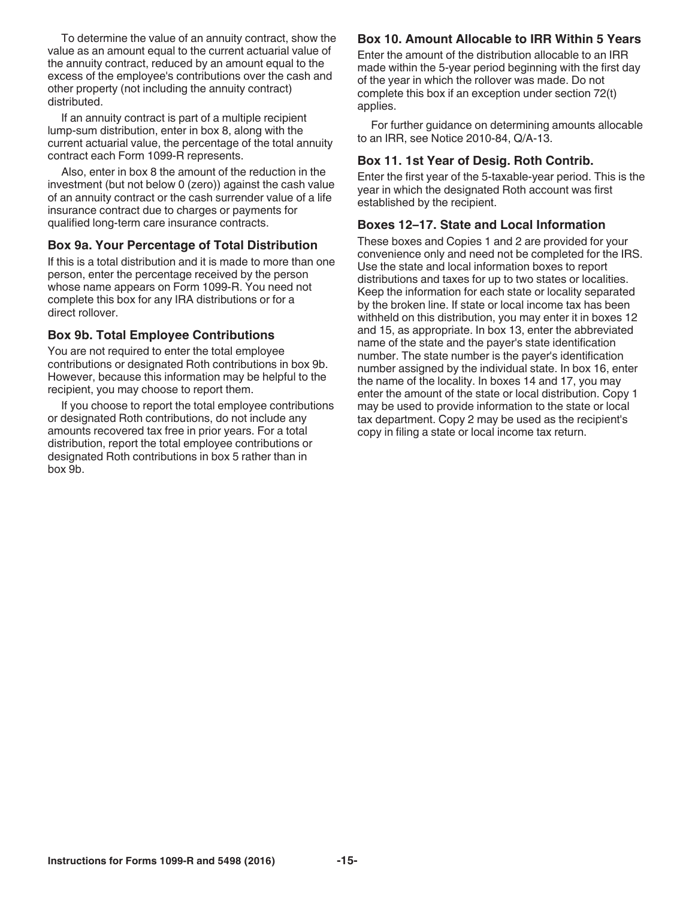To determine the value of an annuity contract, show the value as an amount equal to the current actuarial value of the annuity contract, reduced by an amount equal to the excess of the employee's contributions over the cash and other property (not including the annuity contract) distributed.

If an annuity contract is part of a multiple recipient lump-sum distribution, enter in box 8, along with the current actuarial value, the percentage of the total annuity contract each Form 1099-R represents.

Also, enter in box 8 the amount of the reduction in the investment (but not below 0 (zero)) against the cash value of an annuity contract or the cash surrender value of a life insurance contract due to charges or payments for qualified long-term care insurance contracts.

#### **Box 9a. Your Percentage of Total Distribution**

If this is a total distribution and it is made to more than one person, enter the percentage received by the person whose name appears on Form 1099-R. You need not complete this box for any IRA distributions or for a direct rollover.

#### **Box 9b. Total Employee Contributions**

You are not required to enter the total employee contributions or designated Roth contributions in box 9b. However, because this information may be helpful to the recipient, you may choose to report them.

If you choose to report the total employee contributions or designated Roth contributions, do not include any amounts recovered tax free in prior years. For a total distribution, report the total employee contributions or designated Roth contributions in box 5 rather than in box 9b.

### **Box 10. Amount Allocable to IRR Within 5 Years**

Enter the amount of the distribution allocable to an IRR made within the 5-year period beginning with the first day of the year in which the rollover was made. Do not complete this box if an exception under section 72(t) applies.

For further guidance on determining amounts allocable to an IRR, see Notice 2010-84, Q/A-13.

#### **Box 11. 1st Year of Desig. Roth Contrib.**

Enter the first year of the 5-taxable-year period. This is the year in which the designated Roth account was first established by the recipient.

#### **Boxes 12–17. State and Local Information**

These boxes and Copies 1 and 2 are provided for your convenience only and need not be completed for the IRS. Use the state and local information boxes to report distributions and taxes for up to two states or localities. Keep the information for each state or locality separated by the broken line. If state or local income tax has been withheld on this distribution, you may enter it in boxes 12 and 15, as appropriate. In box 13, enter the abbreviated name of the state and the payer's state identification number. The state number is the payer's identification number assigned by the individual state. In box 16, enter the name of the locality. In boxes 14 and 17, you may enter the amount of the state or local distribution. Copy 1 may be used to provide information to the state or local tax department. Copy 2 may be used as the recipient's copy in filing a state or local income tax return.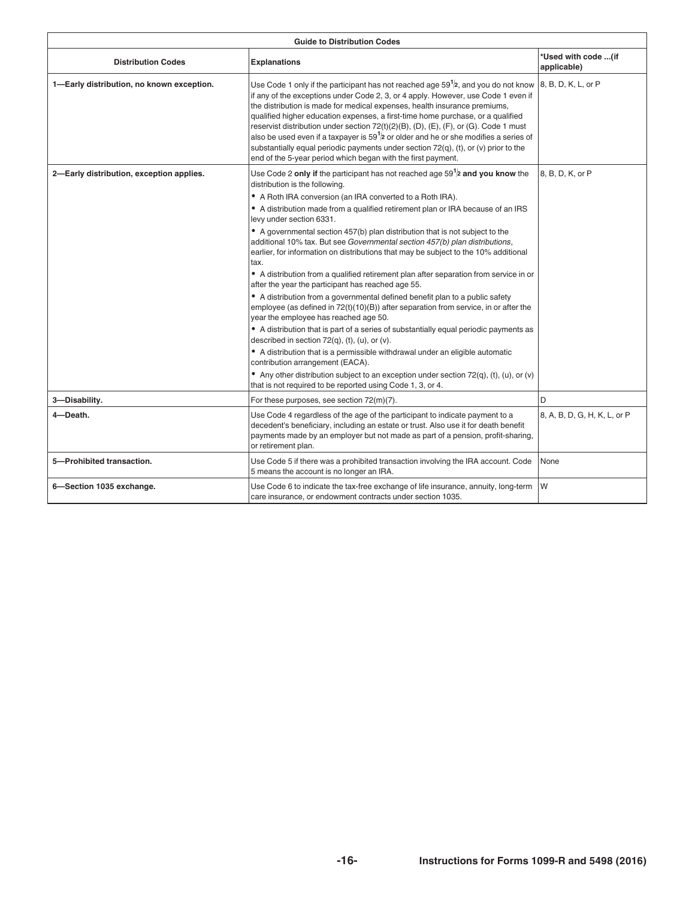|                                           | <b>Guide to Distribution Codes</b>                                                                                                                                                                                                                                                                                                                                                                                                                                                                                                                                                                                                                                                                                                                                                                                                                                                                                                                                                                                                                                                                                                                                                                                                                                                                                                                                                                                                                     |                                    |
|-------------------------------------------|--------------------------------------------------------------------------------------------------------------------------------------------------------------------------------------------------------------------------------------------------------------------------------------------------------------------------------------------------------------------------------------------------------------------------------------------------------------------------------------------------------------------------------------------------------------------------------------------------------------------------------------------------------------------------------------------------------------------------------------------------------------------------------------------------------------------------------------------------------------------------------------------------------------------------------------------------------------------------------------------------------------------------------------------------------------------------------------------------------------------------------------------------------------------------------------------------------------------------------------------------------------------------------------------------------------------------------------------------------------------------------------------------------------------------------------------------------|------------------------------------|
| <b>Distribution Codes</b>                 | <b>Explanations</b>                                                                                                                                                                                                                                                                                                                                                                                                                                                                                                                                                                                                                                                                                                                                                                                                                                                                                                                                                                                                                                                                                                                                                                                                                                                                                                                                                                                                                                    | *Used with code (if<br>applicable) |
| 1-Early distribution, no known exception. | Use Code 1 only if the participant has not reached age 59 $1/2$ , and you do not know $\vert$ 8, B, D, K, L, or P<br>If any of the exceptions under Code 2, 3, or 4 apply. However, use Code 1 even if<br>the distribution is made for medical expenses, health insurance premiums,<br>qualified higher education expenses, a first-time home purchase, or a qualified<br>reservist distribution under section 72(t)(2)(B), (D), (E), (F), or (G). Code 1 must<br>also be used even if a taxpayer is $591$ or older and he or she modifies a series of<br>substantially equal periodic payments under section $72(q)$ , (t), or (v) prior to the<br>end of the 5-year period which began with the first payment.                                                                                                                                                                                                                                                                                                                                                                                                                                                                                                                                                                                                                                                                                                                                       |                                    |
| 2-Early distribution, exception applies.  | Use Code 2 only if the participant has not reached age $59^{1}/2$ and you know the $\left 8, B, D, K, \text{or } P\right $<br>distribution is the following.<br>$\bullet$ A Roth IRA conversion (an IRA converted to a Roth IRA).<br>A distribution made from a qualified retirement plan or IRA because of an IRS<br>levy under section 6331.<br>$\bullet$ A governmental section 457(b) plan distribution that is not subject to the<br>additional 10% tax. But see Governmental section 457(b) plan distributions,<br>earlier, for information on distributions that may be subject to the 10% additional<br>$\bullet$ A distribution from a qualified retirement plan after separation from service in or $\vert$<br>after the year the participant has reached age 55.<br>$\bullet$ A distribution from a governmental defined benefit plan to a public safety<br>employee (as defined in 72(t)(10)(B)) after separation from service, in or after the<br>year the employee has reached age 50.<br>$\bullet$ A distribution that is part of a series of substantially equal periodic payments as<br>described in section $72(q)$ , (t), (u), or (v).<br>$\bullet$ A distribution that is a permissible withdrawal under an eligible automatic<br>contribution arrangement (EACA).<br>• Any other distribution subject to an exception under section 72(q), (t), (u), or (v) $\vert$<br>that is not required to be reported using Code 1, 3, or 4. |                                    |
|                                           |                                                                                                                                                                                                                                                                                                                                                                                                                                                                                                                                                                                                                                                                                                                                                                                                                                                                                                                                                                                                                                                                                                                                                                                                                                                                                                                                                                                                                                                        |                                    |
| 3-Disability.                             | For these purposes, see section 72(m)(7).                                                                                                                                                                                                                                                                                                                                                                                                                                                                                                                                                                                                                                                                                                                                                                                                                                                                                                                                                                                                                                                                                                                                                                                                                                                                                                                                                                                                              |                                    |
| 4-Death.                                  | Use Code 4 regardless of the age of the participant to indicate payment to a<br>decedent's beneficiary, including an estate or trust. Also use it for death benefit<br>payments made by an employer but not made as part of a pension, profit-sharing,<br>or retirement plan.                                                                                                                                                                                                                                                                                                                                                                                                                                                                                                                                                                                                                                                                                                                                                                                                                                                                                                                                                                                                                                                                                                                                                                          | 8, A, B, D, G, H, K, L, or P       |
| 5-Prohibited transaction.                 | Use Code 5 if there was a prohibited transaction involving the IRA account. Code $\big $ None<br>means the account is no longer an IRA.                                                                                                                                                                                                                                                                                                                                                                                                                                                                                                                                                                                                                                                                                                                                                                                                                                                                                                                                                                                                                                                                                                                                                                                                                                                                                                                |                                    |
| 6-Section 1035 exchange.                  | Use Code 6 to indicate the tax-free exchange of life insurance, annuity, long-term   W<br>care insurance, or endowment contracts under section 1035.                                                                                                                                                                                                                                                                                                                                                                                                                                                                                                                                                                                                                                                                                                                                                                                                                                                                                                                                                                                                                                                                                                                                                                                                                                                                                                   |                                    |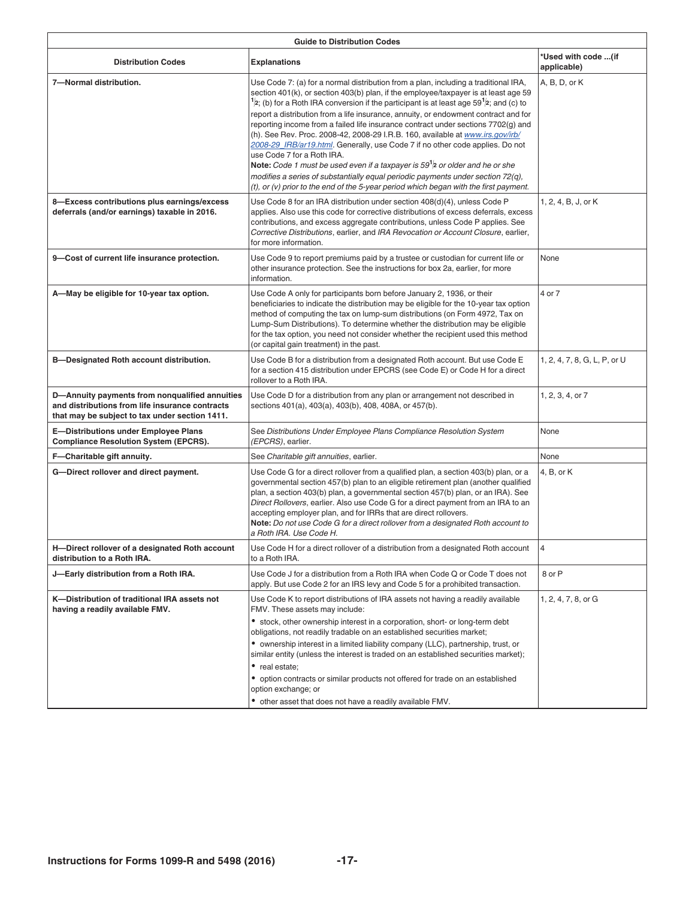|                                                                                                                                                     | <b>Guide to Distribution Codes</b>                                                                                                                                                                                                                                                                                                                                                                                                                                                                                                                                                                                                                                                                                                                                                                                                                                                                                                                                   |                                    |
|-----------------------------------------------------------------------------------------------------------------------------------------------------|----------------------------------------------------------------------------------------------------------------------------------------------------------------------------------------------------------------------------------------------------------------------------------------------------------------------------------------------------------------------------------------------------------------------------------------------------------------------------------------------------------------------------------------------------------------------------------------------------------------------------------------------------------------------------------------------------------------------------------------------------------------------------------------------------------------------------------------------------------------------------------------------------------------------------------------------------------------------|------------------------------------|
| <b>Distribution Codes</b>                                                                                                                           | Explanations                                                                                                                                                                                                                                                                                                                                                                                                                                                                                                                                                                                                                                                                                                                                                                                                                                                                                                                                                         | *Used with code  (if<br>pplicable) |
| 7-Normal distribution.                                                                                                                              | Use Code 7: (a) for a normal distribution from a plan, including a traditional IRA, $ A, B, D, or K $<br>section 401(k), or section 403(b) plan, if the employee/taxpayer is at least age 59<br>$\vert$ <sup>1</sup> /2; (b) for a Roth IRA conversion if the participant is at least age 59 <sup>1</sup> /2; and (c) to<br>report a distribution from a life insurance, annuity, or endowment contract and for<br>reporting income from a failed life insurance contract under sections 7702(g) and<br>(h). See Rev. Proc. 2008-42, 2008-29 I.R.B. 160, available at www.irs.gov/irb/<br>2008-29_IRB/ar19.html. Generally, use Code 7 if no other code applies. Do not<br>use Code 7 for a Roth IRA.<br>Note: Code 1 must be used even if a taxpayer is $591$ ar older and he or she<br>modifies a series of substantially equal periodic payments under section 72(q),<br>$(t)$ , or (v) prior to the end of the 5-year period which began with the first payment. |                                    |
| 8-Excess contributions plus earnings/excess<br>deferrals (and/or earnings) taxable in 2016.                                                         | Use Code 8 for an IRA distribution under section 408(d)(4), unless Code P<br>applies. Also use this code for corrective distributions of excess deferrals, excess<br>contributions, and excess aggregate contributions, unless Code P applies. See<br>Corrective Distributions, earlier, and IRA Revocation or Account Closure, earlier,<br>for more information.                                                                                                                                                                                                                                                                                                                                                                                                                                                                                                                                                                                                    | . 2, 4, B, J, or K                 |
| 9-Cost of current life insurance protection.                                                                                                        | Use Code 9 to report premiums paid by a trustee or custodian for current life or None<br>other insurance protection. See the instructions for box 2a, earlier, for more<br>information.                                                                                                                                                                                                                                                                                                                                                                                                                                                                                                                                                                                                                                                                                                                                                                              |                                    |
| A-May be eligible for 10-year tax option.                                                                                                           | Use Code A only for participants born before January 2, 1936, or their<br>beneficiaries to indicate the distribution may be eligible for the 10-year tax option<br>method of computing the tax on lump-sum distributions (on Form 4972, Tax on<br>Lump-Sum Distributions). To determine whether the distribution may be eligible<br>for the tax option, you need not consider whether the recipient used this method<br>(or capital gain treatment) in the past.                                                                                                                                                                                                                                                                                                                                                                                                                                                                                                     | $4$ or $7$                         |
| <b>B-Designated Roth account distribution.</b>                                                                                                      | Use Code B for a distribution from a designated Roth account. But use Code E<br>for a section 415 distribution under EPCRS (see Code E) or Code H for a direct<br>rollover to a Roth IRA.                                                                                                                                                                                                                                                                                                                                                                                                                                                                                                                                                                                                                                                                                                                                                                            | , 2, 4, 7, 8, G, L, P, or U        |
| D-Annuity payments from nonqualified annuities<br>and distributions from life insurance contracts<br>that may be subject to tax under section 1411. | Use Code D for a distribution from any plan or arrangement not described in<br>sections 401(a), 403(a), 403(b), 408, 408A, or 457(b).                                                                                                                                                                                                                                                                                                                                                                                                                                                                                                                                                                                                                                                                                                                                                                                                                                | , 2, 3, 4, or 7                    |
| E-Distributions under Employee Plans<br><b>Compliance Resolution System (EPCRS).</b>                                                                | See Distributions Under Employee Plans Compliance Resolution System<br>(EPCRS), earlier.                                                                                                                                                                                                                                                                                                                                                                                                                                                                                                                                                                                                                                                                                                                                                                                                                                                                             | l None                             |
| F-Charitable gift annuity.                                                                                                                          | See Charitable gift annuities, earlier.                                                                                                                                                                                                                                                                                                                                                                                                                                                                                                                                                                                                                                                                                                                                                                                                                                                                                                                              |                                    |
| G-Direct rollover and direct payment.                                                                                                               | Use Code G for a direct rollover from a qualified plan, a section 403(b) plan, or a $\vert$ 4, B, or K<br>governmental section 457(b) plan to an eligible retirement plan (another qualified<br>plan, a section 403(b) plan, a governmental section 457(b) plan, or an IRA). See<br>Direct Rollovers, earlier. Also use Code G for a direct payment from an IRA to an<br>accepting employer plan, and for IRRs that are direct rollovers.<br>Note: Do not use Code G for a direct rollover from a designated Roth account to<br>a Roth IRA. Use Code H.                                                                                                                                                                                                                                                                                                                                                                                                              |                                    |
| H-Direct rollover of a designated Roth account<br>distribution to a Roth IRA.                                                                       | Use Code H for a direct rollover of a distribution from a designated Roth account $\ $<br>to a Roth IRA.                                                                                                                                                                                                                                                                                                                                                                                                                                                                                                                                                                                                                                                                                                                                                                                                                                                             |                                    |
| J-Early distribution from a Roth IRA.                                                                                                               | Use Code J for a distribution from a Roth IRA when Code Q or Code T does not $\ 8$ or P<br>apply. But use Code 2 for an IRS levy and Code 5 for a prohibited transaction.                                                                                                                                                                                                                                                                                                                                                                                                                                                                                                                                                                                                                                                                                                                                                                                            |                                    |
| K-Distribution of traditional IRA assets not<br>having a readily available FMV.                                                                     | Use Code K to report distributions of IRA assets not having a readily available<br>FMV. These assets may include:<br>$\bullet$ stock, other ownership interest in a corporation, short- or long-term debt<br>obligations, not readily tradable on an established securities market;<br>• ownership interest in a limited liability company (LLC), partnership, trust, or<br>similar entity (unless the interest is traded on an established securities market);<br>• real estate;<br>• option contracts or similar products not offered for trade on an established                                                                                                                                                                                                                                                                                                                                                                                                  | , 2, 4, 7, 8, or G                 |
|                                                                                                                                                     | option exchange; or<br>• other asset that does not have a readily available FMV.                                                                                                                                                                                                                                                                                                                                                                                                                                                                                                                                                                                                                                                                                                                                                                                                                                                                                     |                                    |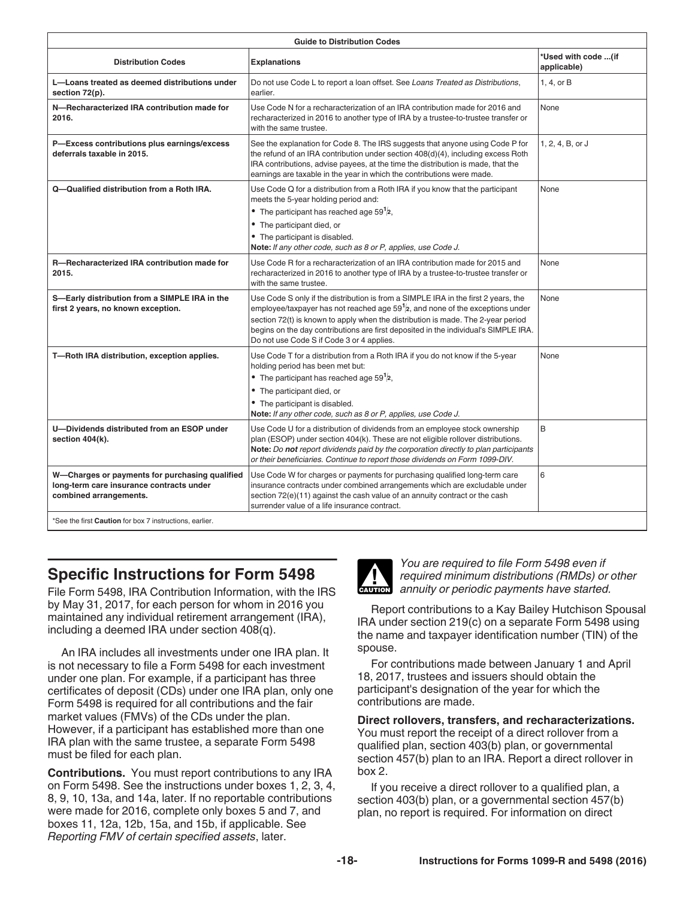|                                                                                     | <b>Guide to Distribution Codes</b>                                                                                                                                                                                                                                                                                                                                                                    |                                    |
|-------------------------------------------------------------------------------------|-------------------------------------------------------------------------------------------------------------------------------------------------------------------------------------------------------------------------------------------------------------------------------------------------------------------------------------------------------------------------------------------------------|------------------------------------|
| <b>Distribution Codes</b>                                                           | <b>Explanations</b>                                                                                                                                                                                                                                                                                                                                                                                   | *Used with code (if<br>applicable) |
| L-Loans treated as deemed distributions under<br>section 72(p).                     | Do not use Code L to report a loan offset. See Loans Treated as Distributions,                                                                                                                                                                                                                                                                                                                        | $1, 4$ , or B                      |
| N-Recharacterized IRA contribution made for<br>2016.                                | Use Code N for a recharacterization of an IRA contribution made for 2016 and<br>recharacterized in 2016 to another type of IRA by a trustee-to-trustee transfer or<br>with the same trustee.                                                                                                                                                                                                          | None                               |
| P-Excess contributions plus earnings/excess<br>deferrals taxable in 2015.           | See the explanation for Code 8. The IRS suggests that anyone using Code P for $\vert$ 1, 2, 4, B, or J<br>the refund of an IRA contribution under section 408(d)(4), including excess Roth<br>IRA contributions, advise payees, at the time the distribution is made, that the<br>earnings are taxable in the year in which the contributions were made.                                              |                                    |
| Q-Qualified distribution from a Roth IRA.                                           | Use Code Q for a distribution from a Roth IRA if you know that the participant<br>meets the 5-year holding period and:<br>• The participant has reached age 59 $1/2$ ,<br>• The participant died, or<br>• The participant is disabled.<br>Note: If any other code, such as 8 or P, applies, use Code J.                                                                                               | None                               |
| R-Recharacterized IRA contribution made for<br>2015.                                | Use Code R for a recharacterization of an IRA contribution made for 2015 and $\blacksquare$ None<br>recharacterized in 2016 to another type of IRA by a trustee-to-trustee transfer or<br>with the same trustee.                                                                                                                                                                                      |                                    |
| S-Early distribution from a SIMPLE IRA in the<br>first 2 years, no known exception. | Use Code S only if the distribution is from a SIMPLE IRA in the first 2 years, the Alone<br>employee/taxpayer has not reached age 59 $1/z$ , and none of the exceptions under<br>section 72(t) is known to apply when the distribution is made. The 2-year period<br>begins on the day contributions are first deposited in the individual's SIMPLE IRA.<br>Do not use Code S if Code 3 or 4 applies. |                                    |
| T-Roth IRA distribution, exception applies.                                         | Use Code T for a distribution from a Roth IRA if you do not know if the 5-year<br>holding period has been met but:<br>The participant has reached age 59 $1/2$ ,<br>• The participant died, or<br>• The participant is disabled.<br>Note: If any other code, such as 8 or P, applies, use Code J.                                                                                                     | <b>None</b>                        |
| U-Dividends distributed from an ESOP under<br>section 404(k).                       | Use Code U for a distribution of dividends from an employee stock ownership<br>plan (ESOP) under section 404(k). These are not eligible rollover distributions.<br><b>Note:</b> Do not report dividends paid by the corporation directly to plan participants<br>or their beneficiaries. Continue to report those dividends on Form 1099-DIV.                                                         |                                    |
| long-term care insurance contracts under<br>combined arrangements.                  | W-Charges or payments for purchasing qualified Use Code W for charges or payments for purchasing qualified long-term care<br>insurance contracts under combined arrangements which are excludable under<br>section 72(e)(11) against the cash value of an annuity contract or the cash<br>surrender value of a life insurance contract.                                                               |                                    |
| *See the first Caution for box 7 instructions, earlier.                             |                                                                                                                                                                                                                                                                                                                                                                                                       |                                    |

# **Specific Instructions for Form 5498**

File Form 5498, IRA Contribution Information, with the IRS by May 31, 2017, for each person for whom in 2016 you maintained any individual retirement arrangement (IRA), including a deemed IRA under section 408(q).

An IRA includes all investments under one IRA plan. It is not necessary to file a Form 5498 for each investment under one plan. For example, if a participant has three certificates of deposit (CDs) under one IRA plan, only one Form 5498 is required for all contributions and the fair market values (FMVs) of the CDs under the plan. However, if a participant has established more than one IRA plan with the same trustee, a separate Form 5498 must be filed for each plan.

**Contributions.** You must report contributions to any IRA on Form 5498. See the instructions under boxes 1, 2, 3, 4, 8, 9, 10, 13a, and 14a, later. If no reportable contributions were made for 2016, complete only boxes 5 and 7, and boxes 11, 12a, 12b, 15a, and 15b, if applicable. See *Reporting FMV of certain specified assets*, later.



*You are required to file Form 5498 even if required minimum distributions (RMDs) or other*  **z** *annuity or periodic payments have started.* 

Report contributions to a Kay Bailey Hutchison Spousal IRA under section 219(c) on a separate Form 5498 using the name and taxpayer identification number (TIN) of the spouse.

For contributions made between January 1 and April 18, 2017, trustees and issuers should obtain the participant's designation of the year for which the contributions are made.

**Direct rollovers, transfers, and recharacterizations.**

You must report the receipt of a direct rollover from a qualified plan, section 403(b) plan, or governmental section 457(b) plan to an IRA. Report a direct rollover in box 2.

If you receive a direct rollover to a qualified plan, a section 403(b) plan, or a governmental section 457(b) plan, no report is required. For information on direct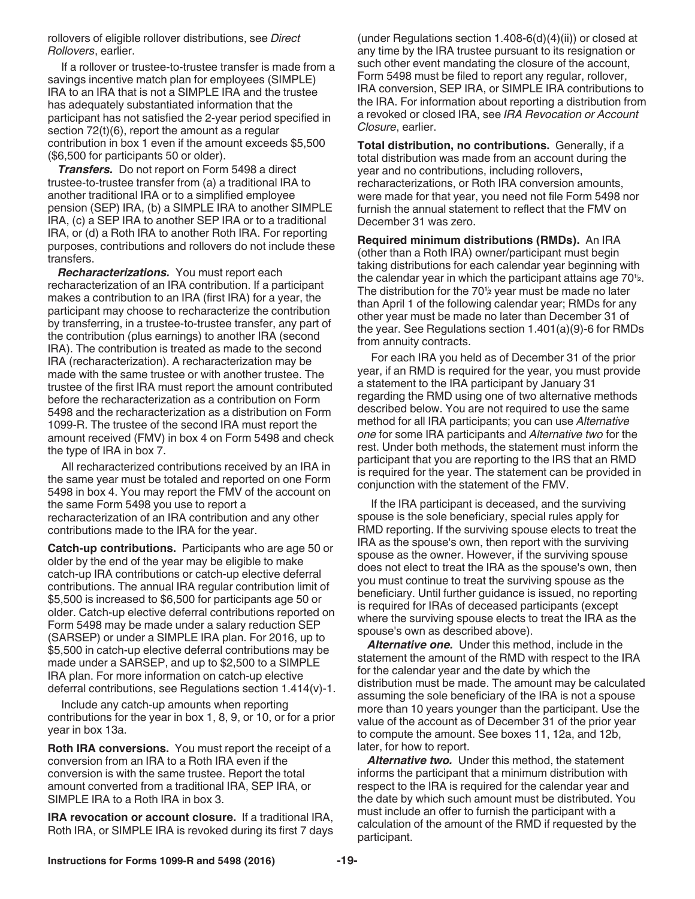rollovers of eligible rollover distributions, see *Direct Rollovers*, earlier.

If a rollover or trustee-to-trustee transfer is made from a savings incentive match plan for employees (SIMPLE) IRA to an IRA that is not a SIMPLE IRA and the trustee has adequately substantiated information that the participant has not satisfied the 2-year period specified in section 72(t)(6), report the amount as a regular contribution in box 1 even if the amount exceeds \$5,500 (\$6,500 for participants 50 or older).

*Transfers.* Do not report on Form 5498 a direct trustee-to-trustee transfer from (a) a traditional IRA to another traditional IRA or to a simplified employee pension (SEP) IRA, (b) a SIMPLE IRA to another SIMPLE IRA, (c) a SEP IRA to another SEP IRA or to a traditional IRA, or (d) a Roth IRA to another Roth IRA. For reporting purposes, contributions and rollovers do not include these transfers.

*Recharacterizations.* You must report each recharacterization of an IRA contribution. If a participant makes a contribution to an IRA (first IRA) for a year, the participant may choose to recharacterize the contribution by transferring, in a trustee-to-trustee transfer, any part of the contribution (plus earnings) to another IRA (second IRA). The contribution is treated as made to the second IRA (recharacterization). A recharacterization may be made with the same trustee or with another trustee. The trustee of the first IRA must report the amount contributed before the recharacterization as a contribution on Form 5498 and the recharacterization as a distribution on Form 1099-R. The trustee of the second IRA must report the amount received (FMV) in box 4 on Form 5498 and check the type of IRA in box 7.

All recharacterized contributions received by an IRA in the same year must be totaled and reported on one Form 5498 in box 4. You may report the FMV of the account on the same Form 5498 you use to report a recharacterization of an IRA contribution and any other contributions made to the IRA for the year.

**Catch-up contributions.** Participants who are age 50 or older by the end of the year may be eligible to make catch-up IRA contributions or catch-up elective deferral contributions. The annual IRA regular contribution limit of \$5,500 is increased to \$6,500 for participants age 50 or older. Catch-up elective deferral contributions reported on Form 5498 may be made under a salary reduction SEP (SARSEP) or under a SIMPLE IRA plan. For 2016, up to \$5,500 in catch-up elective deferral contributions may be made under a SARSEP, and up to \$2,500 to a SIMPLE IRA plan. For more information on catch-up elective deferral contributions, see Regulations section 1.414(v)-1.

Include any catch-up amounts when reporting contributions for the year in box 1, 8, 9, or 10, or for a prior year in box 13a.

**Roth IRA conversions.** You must report the receipt of a conversion from an IRA to a Roth IRA even if the conversion is with the same trustee. Report the total amount converted from a traditional IRA, SEP IRA, or SIMPLE IRA to a Roth IRA in box 3.

**IRA revocation or account closure.** If a traditional IRA, Roth IRA, or SIMPLE IRA is revoked during its first 7 days

(under Regulations section 1.408-6(d)(4)(ii)) or closed at any time by the IRA trustee pursuant to its resignation or such other event mandating the closure of the account, Form 5498 must be filed to report any regular, rollover, IRA conversion, SEP IRA, or SIMPLE IRA contributions to the IRA. For information about reporting a distribution from a revoked or closed IRA, see *IRA Revocation or Account Closure*, earlier.

**Total distribution, no contributions.** Generally, if a total distribution was made from an account during the year and no contributions, including rollovers, recharacterizations, or Roth IRA conversion amounts, were made for that year, you need not file Form 5498 nor furnish the annual statement to reflect that the FMV on December 31 was zero.

**Required minimum distributions (RMDs).** An IRA (other than a Roth IRA) owner/participant must begin taking distributions for each calendar year beginning with the calendar year in which the participant attains age 70**<sup>1</sup> 2**. The distribution for the 70**<sup>1</sup> <sup>2</sup>** year must be made no later than April 1 of the following calendar year; RMDs for any other year must be made no later than December 31 of the year. See Regulations section 1.401(a)(9)-6 for RMDs from annuity contracts.

For each IRA you held as of December 31 of the prior year, if an RMD is required for the year, you must provide a statement to the IRA participant by January 31 regarding the RMD using one of two alternative methods described below. You are not required to use the same method for all IRA participants; you can use *Alternative one* for some IRA participants and *Alternative two* for the rest. Under both methods, the statement must inform the participant that you are reporting to the IRS that an RMD is required for the year. The statement can be provided in conjunction with the statement of the FMV.

If the IRA participant is deceased, and the surviving spouse is the sole beneficiary, special rules apply for RMD reporting. If the surviving spouse elects to treat the IRA as the spouse's own, then report with the surviving spouse as the owner. However, if the surviving spouse does not elect to treat the IRA as the spouse's own, then you must continue to treat the surviving spouse as the beneficiary. Until further guidance is issued, no reporting is required for IRAs of deceased participants (except where the surviving spouse elects to treat the IRA as the spouse's own as described above).

*Alternative one.* Under this method, include in the statement the amount of the RMD with respect to the IRA for the calendar year and the date by which the distribution must be made. The amount may be calculated assuming the sole beneficiary of the IRA is not a spouse more than 10 years younger than the participant. Use the value of the account as of December 31 of the prior year to compute the amount. See boxes 11, 12a, and 12b, later, for how to report.

*Alternative two.* Under this method, the statement informs the participant that a minimum distribution with respect to the IRA is required for the calendar year and the date by which such amount must be distributed. You must include an offer to furnish the participant with a calculation of the amount of the RMD if requested by the participant.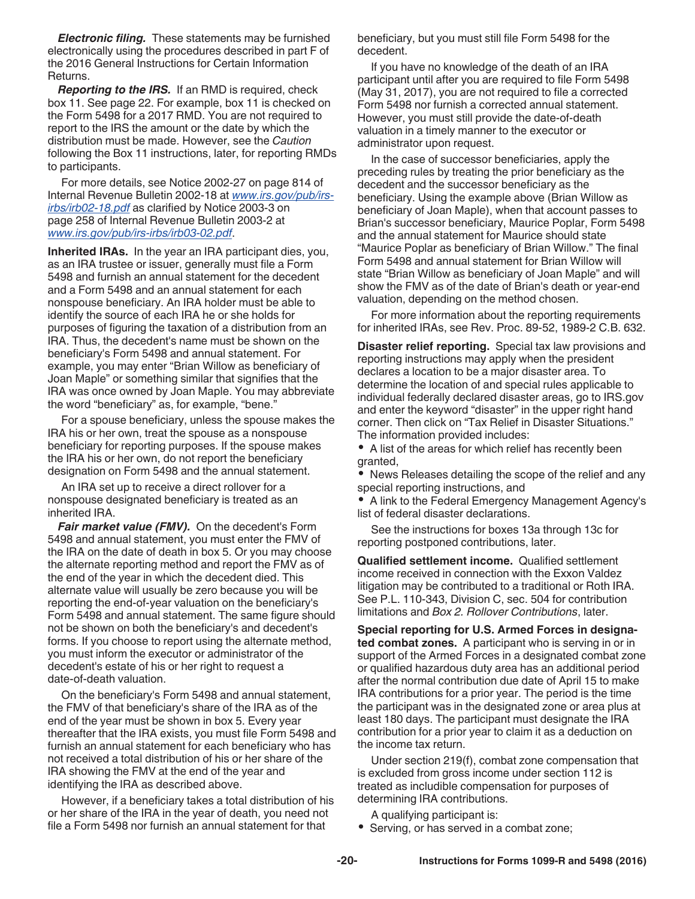*Electronic filing.* These statements may be furnished electronically using the procedures described in part F of the 2016 General Instructions for Certain Information Returns.

*Reporting to the IRS.* If an RMD is required, check box 11. See page 22. For example, box 11 is checked on the Form 5498 for a 2017 RMD. You are not required to report to the IRS the amount or the date by which the distribution must be made. However, see the *Caution*  following the Box 11 instructions, later, for reporting RMDs to participants.

For more details, see Notice 2002-27 on page 814 of Internal Revenue Bulletin 2002-18 at *www.irs.gov/pub/irsirbs/irb02-18.pdf* as clarified by Notice 2003-3 on page 258 of Internal Revenue Bulletin 2003-2 at *www.irs.gov/pub/irs-irbs/irb03-02.pdf*.

**Inherited IRAs.** In the year an IRA participant dies, you, as an IRA trustee or issuer, generally must file a Form 5498 and furnish an annual statement for the decedent and a Form 5498 and an annual statement for each nonspouse beneficiary. An IRA holder must be able to identify the source of each IRA he or she holds for purposes of figuring the taxation of a distribution from an IRA. Thus, the decedent's name must be shown on the beneficiary's Form 5498 and annual statement. For example, you may enter "Brian Willow as beneficiary of Joan Maple" or something similar that signifies that the IRA was once owned by Joan Maple. You may abbreviate the word "beneficiary" as, for example, "bene."

For a spouse beneficiary, unless the spouse makes the IRA his or her own, treat the spouse as a nonspouse beneficiary for reporting purposes. If the spouse makes the IRA his or her own, do not report the beneficiary designation on Form 5498 and the annual statement.

An IRA set up to receive a direct rollover for a nonspouse designated beneficiary is treated as an inherited IRA.

*Fair market value (FMV).* On the decedent's Form 5498 and annual statement, you must enter the FMV of the IRA on the date of death in box 5. Or you may choose the alternate reporting method and report the FMV as of the end of the year in which the decedent died. This alternate value will usually be zero because you will be reporting the end-of-year valuation on the beneficiary's Form 5498 and annual statement. The same figure should not be shown on both the beneficiary's and decedent's forms. If you choose to report using the alternate method, you must inform the executor or administrator of the decedent's estate of his or her right to request a date-of-death valuation.

On the beneficiary's Form 5498 and annual statement, the FMV of that beneficiary's share of the IRA as of the end of the year must be shown in box 5. Every year thereafter that the IRA exists, you must file Form 5498 and furnish an annual statement for each beneficiary who has not received a total distribution of his or her share of the IRA showing the FMV at the end of the year and identifying the IRA as described above.

However, if a beneficiary takes a total distribution of his or her share of the IRA in the year of death, you need not file a Form 5498 nor furnish an annual statement for that

beneficiary, but you must still file Form 5498 for the decedent.

If you have no knowledge of the death of an IRA participant until after you are required to file Form 5498 (May 31, 2017), you are not required to file a corrected Form 5498 nor furnish a corrected annual statement. However, you must still provide the date-of-death valuation in a timely manner to the executor or administrator upon request.

In the case of successor beneficiaries, apply the preceding rules by treating the prior beneficiary as the decedent and the successor beneficiary as the beneficiary. Using the example above (Brian Willow as beneficiary of Joan Maple), when that account passes to Brian's successor beneficiary, Maurice Poplar, Form 5498 and the annual statement for Maurice should state "Maurice Poplar as beneficiary of Brian Willow." The final Form 5498 and annual statement for Brian Willow will state "Brian Willow as beneficiary of Joan Maple" and will show the FMV as of the date of Brian's death or year-end valuation, depending on the method chosen.

For more information about the reporting requirements for inherited IRAs, see Rev. Proc. 89-52, 1989-2 C.B. 632.

**Disaster relief reporting.** Special tax law provisions and reporting instructions may apply when the president declares a location to be a major disaster area. To determine the location of and special rules applicable to individual federally declared disaster areas, go to IRS.gov and enter the keyword "disaster" in the upper right hand corner. Then click on "Tax Relief in Disaster Situations." The information provided includes:

A list of the areas for which relief has recently been granted,

News Releases detailing the scope of the relief and any special reporting instructions, and

A link to the Federal Emergency Management Agency's list of federal disaster declarations.

See the instructions for boxes 13a through 13c for reporting postponed contributions, later.

**Qualified settlement income.** Qualified settlement income received in connection with the Exxon Valdez litigation may be contributed to a traditional or Roth IRA. See P.L. 110-343, Division C, sec. 504 for contribution limitations and *Box 2. Rollover Contributions*, later.

**Special reporting for U.S. Armed Forces in designated combat zones.** A participant who is serving in or in support of the Armed Forces in a designated combat zone or qualified hazardous duty area has an additional period after the normal contribution due date of April 15 to make IRA contributions for a prior year. The period is the time the participant was in the designated zone or area plus at least 180 days. The participant must designate the IRA contribution for a prior year to claim it as a deduction on the income tax return.

Under section 219(f), combat zone compensation that is excluded from gross income under section 112 is treated as includible compensation for purposes of determining IRA contributions.

A qualifying participant is:

• Serving, or has served in a combat zone;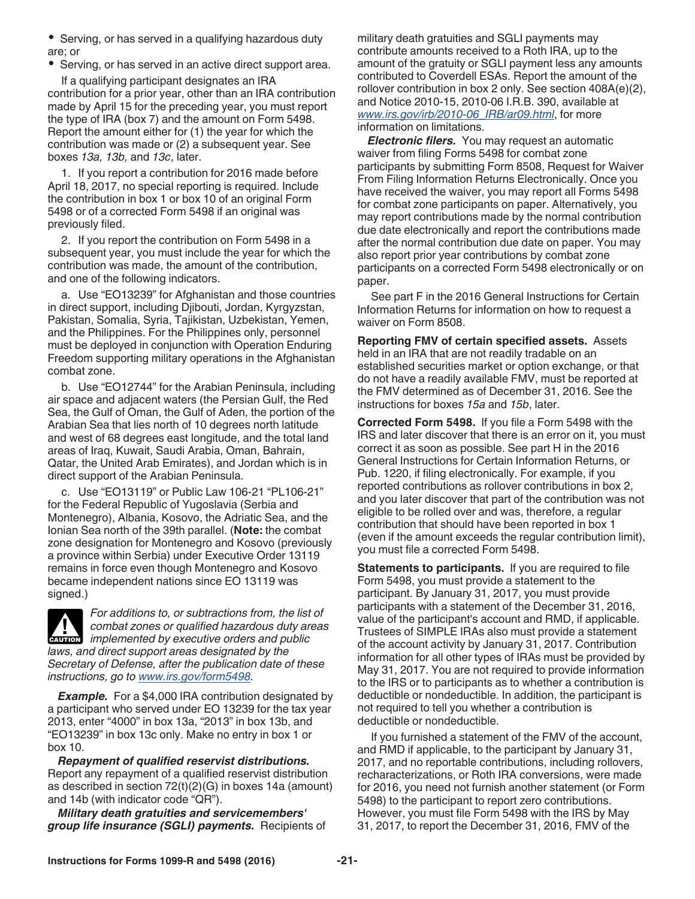• Serving, or has served in a qualifying hazardous duty are; or

• Serving, or has served in an active direct support area.

If a qualifying participant designates an IRA contribution for a prior year, other than an IRA contribution made by April 15 for the preceding year, you must report the type of IRA (box 7) and the amount on Form 5498. Report the amount either for (1) the year for which the contribution was made or (2) a subsequent year. See boxes *13a, 13b,* and *13c*, later.

1. If you report a contribution for 2016 made before April 18, 2017, no special reporting is required. Include the contribution in box 1 or box 10 of an original Form 5498 or of a corrected Form 5498 if an original was previously filed.

2. If you report the contribution on Form 5498 in a subsequent year, you must include the year for which the contribution was made, the amount of the contribution, and one of the following indicators.

a. Use "EO13239" for Afghanistan and those countries in direct support, including Djibouti, Jordan, Kyrgyzstan, Pakistan, Somalia, Syria, Tajikistan, Uzbekistan, Yemen, and the Philippines. For the Philippines only, personnel must be deployed in conjunction with Operation Enduring Freedom supporting military operations in the Afghanistan combat zone.

b. Use "EO12744" for the Arabian Peninsula, including air space and adjacent waters (the Persian Gulf, the Red Sea, the Gulf of Oman, the Gulf of Aden, the portion of the Arabian Sea that lies north of 10 degrees north latitude and west of 68 degrees east longitude, and the total land areas of Iraq, Kuwait, Saudi Arabia, Oman, Bahrain, Qatar, the United Arab Emirates), and Jordan which is in direct support of the Arabian Peninsula.

c. Use "EO13119" or Public Law 106-21 "PL106-21" for the Federal Republic of Yugoslavia (Serbia and Montenegro), Albania, Kosovo, the Adriatic Sea, and the Ionian Sea north of the 39th parallel. (**Note:** the combat zone designation for Montenegro and Kosovo (previously a province within Serbia) under Executive Order 13119 remains in force even though Montenegro and Kosovo became independent nations since EO 13119 was signed.)



*For additions to, or subtractions from, the list of combat zones or qualified hazardous duty areas*  **implemented by executive orders and public**  $\alpha$  **implemented by executive orders and public** *laws, and direct support areas designated by the Secretary of Defense, after the publication date of these instructions, go to www.irs.gov/form5498.*

*Example.* For a \$4,000 IRA contribution designated by a participant who served under EO 13239 for the tax year 2013, enter "4000" in box 13a, "2013" in box 13b, and "EO13239" in box 13c only. Make no entry in box 1 or box 10.

*Repayment of qualified reservist distributions.*  Report any repayment of a qualified reservist distribution as described in section 72(t)(2)(G) in boxes 14a (amount) and 14b (with indicator code "QR").

*Military death gratuities and servicemembers' group life insurance (SGLI) payments.* Recipients of military death gratuities and SGLI payments may contribute amounts received to a Roth IRA, up to the amount of the gratuity or SGLI payment less any amounts contributed to Coverdell ESAs. Report the amount of the rollover contribution in box 2 only. See section 408A(e)(2), and Notice 2010-15, 2010-06 I.R.B. 390, available at *www.irs.gov/irb/2010-06\_IRB/ar09.html*, for more information on limitations.

*Electronic filers.* You may request an automatic waiver from filing Forms 5498 for combat zone participants by submitting Form 8508, Request for Waiver From Filing Information Returns Electronically. Once you have received the waiver, you may report all Forms 5498 for combat zone participants on paper. Alternatively, you may report contributions made by the normal contribution due date electronically and report the contributions made after the normal contribution due date on paper. You may also report prior year contributions by combat zone participants on a corrected Form 5498 electronically or on paper.

See part F in the 2016 General Instructions for Certain Information Returns for information on how to request a waiver on Form 8508.

**Reporting FMV of certain specified assets.** Assets held in an IRA that are not readily tradable on an established securities market or option exchange, or that do not have a readily available FMV, must be reported at the FMV determined as of December 31, 2016. See the instructions for boxes *15a* and *15b*, later.

**Corrected Form 5498.** If you file a Form 5498 with the IRS and later discover that there is an error on it, you must correct it as soon as possible. See part H in the 2016 General Instructions for Certain Information Returns, or Pub. 1220, if filing electronically. For example, if you reported contributions as rollover contributions in box 2, and you later discover that part of the contribution was not eligible to be rolled over and was, therefore, a regular contribution that should have been reported in box 1 (even if the amount exceeds the regular contribution limit), you must file a corrected Form 5498.

**Statements to participants.** If you are required to file Form 5498, you must provide a statement to the participant. By January 31, 2017, you must provide participants with a statement of the December 31, 2016, value of the participant's account and RMD, if applicable. Trustees of SIMPLE IRAs also must provide a statement of the account activity by January 31, 2017. Contribution information for all other types of IRAs must be provided by May 31, 2017. You are not required to provide information to the IRS or to participants as to whether a contribution is deductible or nondeductible. In addition, the participant is not required to tell you whether a contribution is deductible or nondeductible.

If you furnished a statement of the FMV of the account, and RMD if applicable, to the participant by January 31, 2017, and no reportable contributions, including rollovers, recharacterizations, or Roth IRA conversions, were made for 2016, you need not furnish another statement (or Form 5498) to the participant to report zero contributions. However, you must file Form 5498 with the IRS by May 31, 2017, to report the December 31, 2016, FMV of the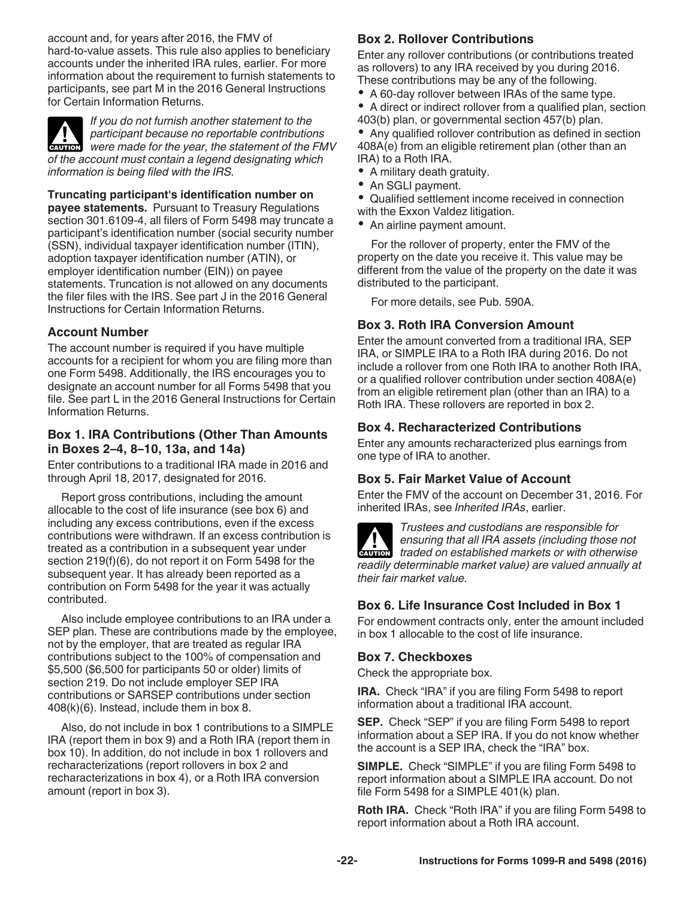account and, for years after 2016, the FMV of hard-to-value assets. This rule also applies to beneficiary accounts under the inherited IRA rules, earlier. For more information about the requirement to furnish statements to participants, see part M in the 2016 General Instructions for Certain Information Returns.



*If you do not furnish another statement to the participant because no reportable contributions*  **Participant because no reportable contributions**<br>were made for the year, the statement of the FMV *of the account must contain a legend designating which information is being filed with the IRS.*

**Truncating participant's identification number on payee statements.** Pursuant to Treasury Regulations section 301.6109-4, all filers of Form 5498 may truncate a participant's identification number (social security number (SSN), individual taxpayer identification number (ITIN), adoption taxpayer identification number (ATIN), or employer identification number (EIN)) on payee statements. Truncation is not allowed on any documents the filer files with the IRS. See part J in the 2016 General Instructions for Certain Information Returns.

## **Account Number**

The account number is required if you have multiple accounts for a recipient for whom you are filing more than one Form 5498. Additionally, the IRS encourages you to designate an account number for all Forms 5498 that you file. See part L in the 2016 General Instructions for Certain Information Returns.

## **Box 1. IRA Contributions (Other Than Amounts in Boxes 2–4, 8–10, 13a, and 14a)**

Enter contributions to a traditional IRA made in 2016 and through April 18, 2017, designated for 2016.

Report gross contributions, including the amount allocable to the cost of life insurance (see box 6) and including any excess contributions, even if the excess contributions were withdrawn. If an excess contribution is treated as a contribution in a subsequent year under section 219(f)(6), do not report it on Form 5498 for the subsequent year. It has already been reported as a contribution on Form 5498 for the year it was actually contributed.

Also include employee contributions to an IRA under a SEP plan. These are contributions made by the employee, not by the employer, that are treated as regular IRA contributions subject to the 100% of compensation and \$5,500 (\$6,500 for participants 50 or older) limits of section 219. Do not include employer SEP IRA contributions or SARSEP contributions under section 408(k)(6). Instead, include them in box 8.

Also, do not include in box 1 contributions to a SIMPLE IRA (report them in box 9) and a Roth IRA (report them in box 10). In addition, do not include in box 1 rollovers and recharacterizations (report rollovers in box 2 and recharacterizations in box 4), or a Roth IRA conversion amount (report in box 3).

## **Box 2. Rollover Contributions**

Enter any rollover contributions (or contributions treated as rollovers) to any IRA received by you during 2016. These contributions may be any of the following.

- A 60-day rollover between IRAs of the same type.
- A direct or indirect rollover from a qualified plan, section 403(b) plan, or governmental section 457(b) plan.

Any qualified rollover contribution as defined in section 408A(e) from an eligible retirement plan (other than an IRA) to a Roth IRA.

- A military death gratuity.
- $\bullet$ An SGLI payment.
- $\bullet$ Qualified settlement income received in connection with the Exxon Valdez litigation.
- An airline payment amount.

For the rollover of property, enter the FMV of the property on the date you receive it. This value may be different from the value of the property on the date it was distributed to the participant.

For more details, see Pub. 590A.

## **Box 3. Roth IRA Conversion Amount**

Enter the amount converted from a traditional IRA, SEP IRA, or SIMPLE IRA to a Roth IRA during 2016. Do not include a rollover from one Roth IRA to another Roth IRA, or a qualified rollover contribution under section 408A(e) from an eligible retirement plan (other than an IRA) to a Roth IRA. These rollovers are reported in box 2.

## **Box 4. Recharacterized Contributions**

Enter any amounts recharacterized plus earnings from one type of IRA to another.

### **Box 5. Fair Market Value of Account**

Enter the FMV of the account on December 31, 2016. For inherited IRAs, see *Inherited IRAs*, earlier.



*Trustees and custodians are responsible for ensuring that all IRA assets (including those not*  **h** ensuring that all IRA assets (including those not traded on established markets or with otherwise *readily determinable market value) are valued annually at their fair market value.*

## **Box 6. Life Insurance Cost Included in Box 1**

For endowment contracts only, enter the amount included in box 1 allocable to the cost of life insurance.

### **Box 7. Checkboxes**

Check the appropriate box.

**IRA.** Check "IRA" if you are filing Form 5498 to report information about a traditional IRA account.

**SEP.** Check "SEP" if you are filing Form 5498 to report information about a SEP IRA. If you do not know whether the account is a SEP IRA, check the "IRA" box.

**SIMPLE.** Check "SIMPLE" if you are filing Form 5498 to report information about a SIMPLE IRA account. Do not file Form 5498 for a SIMPLE 401(k) plan.

**Roth IRA.** Check "Roth IRA" if you are filing Form 5498 to report information about a Roth IRA account.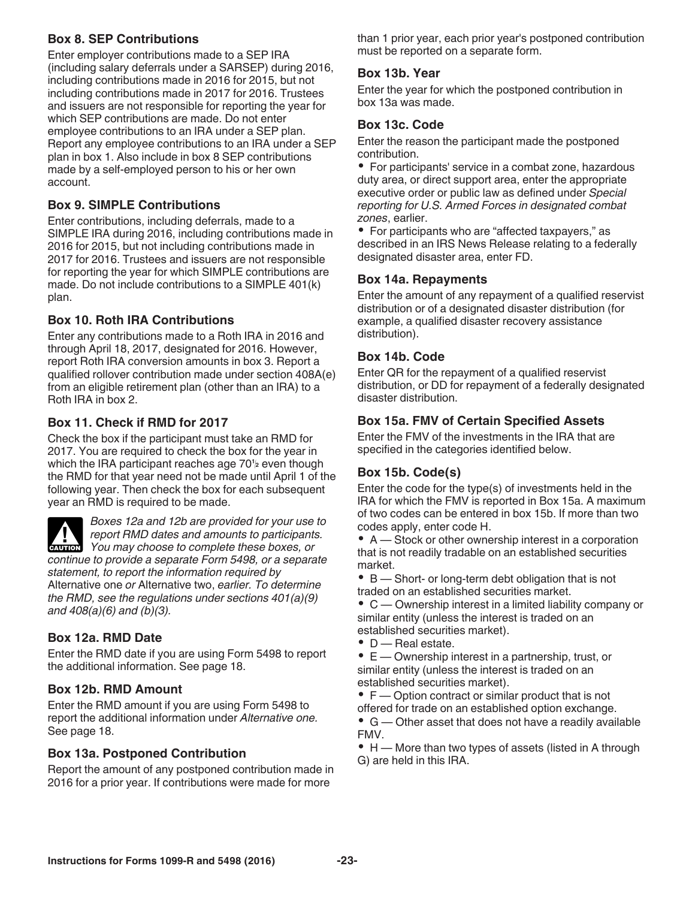## **Box 8. SEP Contributions**

Enter employer contributions made to a SEP IRA (including salary deferrals under a SARSEP) during 2016, including contributions made in 2016 for 2015, but not including contributions made in 2017 for 2016. Trustees and issuers are not responsible for reporting the year for which SEP contributions are made. Do not enter employee contributions to an IRA under a SEP plan. Report any employee contributions to an IRA under a SEP plan in box 1. Also include in box 8 SEP contributions made by a self-employed person to his or her own account.

## **Box 9. SIMPLE Contributions**

Enter contributions, including deferrals, made to a SIMPLE IRA during 2016, including contributions made in 2016 for 2015, but not including contributions made in 2017 for 2016. Trustees and issuers are not responsible for reporting the year for which SIMPLE contributions are made. Do not include contributions to a SIMPLE 401(k) plan.

### **Box 10. Roth IRA Contributions**

Enter any contributions made to a Roth IRA in 2016 and through April 18, 2017, designated for 2016. However, report Roth IRA conversion amounts in box 3. Report a qualified rollover contribution made under section 408A(e) from an eligible retirement plan (other than an IRA) to a Roth IRA in box 2.

### **Box 11. Check if RMD for 2017**

Check the box if the participant must take an RMD for 2017. You are required to check the box for the year in which the IRA participant reaches age 70<sup>1</sup> even though  $\begin{bmatrix} 1 & 0 & 1 \end{bmatrix}$ the RMD for that year need not be made until April 1 of the following year. Then check the box for each subsequent year an RMD is required to be made.



*Boxes 12a and 12b are provided for your use to report RMD dates and amounts to participants. You may choose to complete these boxes, or You may choose to complete these boxes, or continue to provide a separate Form 5498, or a separate statement, to report the information required by*  Alternative one *or* Alternative two, *earlier. To determine the RMD, see the regulations under sections 401(a)(9) and 408(a)(6) and (b)(3).*

### **Box 12a. RMD Date**

Enter the RMD date if you are using Form 5498 to report the additional information. See page 18.

#### **Box 12b. RMD Amount**

Enter the RMD amount if you are using Form 5498 to report the additional information under *Alternative one.*  See page 18.

#### **Box 13a. Postponed Contribution**

Report the amount of any postponed contribution made in 2016 for a prior year. If contributions were made for more

than 1 prior year, each prior year's postponed contribution must be reported on a separate form.

### **Box 13b. Year**

Enter the year for which the postponed contribution in box 13a was made.

#### **Box 13c. Code**

Enter the reason the participant made the postponed contribution.

• For participants' service in a combat zone, hazardous duty area, or direct support area, enter the appropriate executive order or public law as defined under *Special reporting for U.S. Armed Forces in designated combat zones*, earlier.

• For participants who are "affected taxpayers," as described in an IRS News Release relating to a federally designated disaster area, enter FD.

#### **Box 14a. Repayments**

Enter the amount of any repayment of a qualified reservist distribution or of a designated disaster distribution (for example, a qualified disaster recovery assistance distribution).

#### **Box 14b. Code**

Enter QR for the repayment of a qualified reservist distribution, or DD for repayment of a federally designated disaster distribution.

### **Box 15a. FMV of Certain Specified Assets**

Enter the FMV of the investments in the IRA that are specified in the categories identified below.

#### **Box 15b. Code(s)**

Enter the code for the type(s) of investments held in the IRA for which the FMV is reported in Box 15a. A maximum of two codes can be entered in box 15b. If more than two codes apply, enter code H.

A — Stock or other ownership interest in a corporation that is not readily tradable on an established securities market.

B — Short- or long-term debt obligation that is not traded on an established securities market.

C — Ownership interest in a limited liability company or similar entity (unless the interest is traded on an established securities market).

• **D** — Real estate.

E — Ownership interest in a partnership, trust, or similar entity (unless the interest is traded on an established securities market).

• F — Option contract or similar product that is not offered for trade on an established option exchange.

G — Other asset that does not have a readily available FMV.

• H — More than two types of assets (listed in A through G) are held in this IRA.